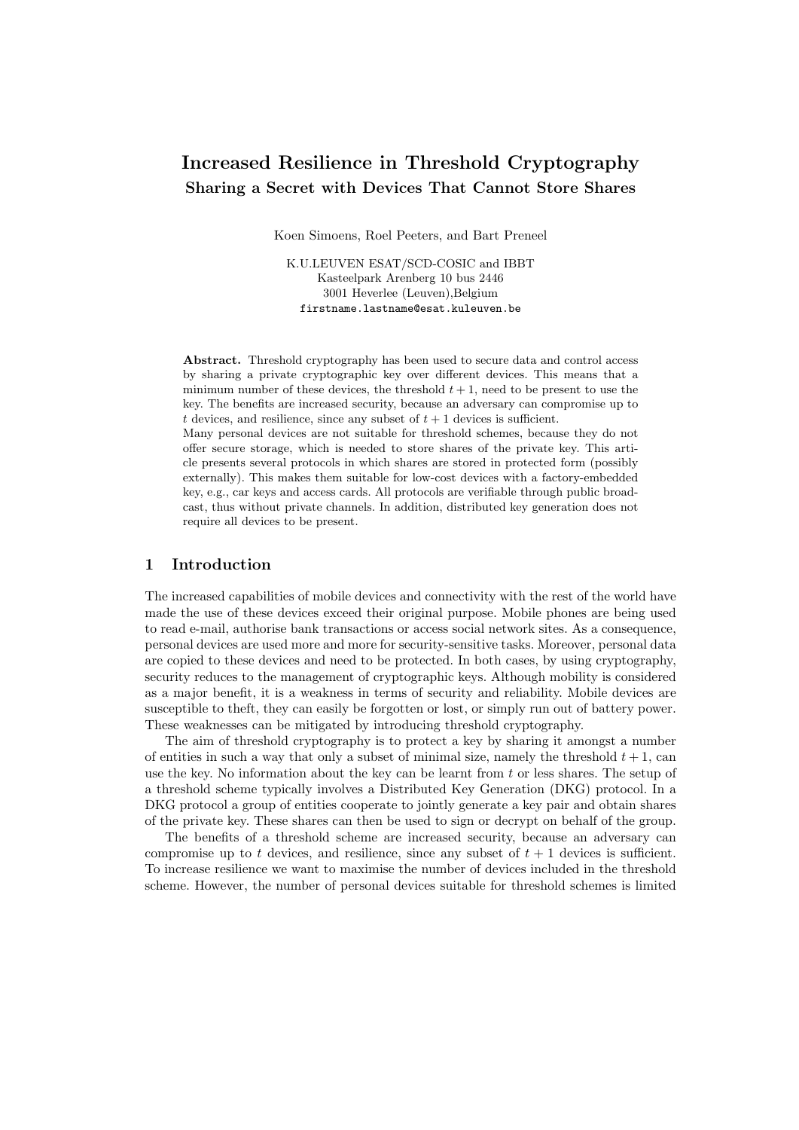# Increased Resilience in Threshold Cryptography Sharing a Secret with Devices That Cannot Store Shares

Koen Simoens, Roel Peeters, and Bart Preneel

K.U.LEUVEN ESAT/SCD-COSIC and IBBT Kasteelpark Arenberg 10 bus 2446 3001 Heverlee (Leuven),Belgium firstname.lastname@esat.kuleuven.be

Abstract. Threshold cryptography has been used to secure data and control access by sharing a private cryptographic key over different devices. This means that a minimum number of these devices, the threshold  $t + 1$ , need to be present to use the key. The benefits are increased security, because an adversary can compromise up to t devices, and resilience, since any subset of  $t + 1$  devices is sufficient.

Many personal devices are not suitable for threshold schemes, because they do not offer secure storage, which is needed to store shares of the private key. This article presents several protocols in which shares are stored in protected form (possibly externally). This makes them suitable for low-cost devices with a factory-embedded key, e.g., car keys and access cards. All protocols are verifiable through public broadcast, thus without private channels. In addition, distributed key generation does not require all devices to be present.

### 1 Introduction

The increased capabilities of mobile devices and connectivity with the rest of the world have made the use of these devices exceed their original purpose. Mobile phones are being used to read e-mail, authorise bank transactions or access social network sites. As a consequence, personal devices are used more and more for security-sensitive tasks. Moreover, personal data are copied to these devices and need to be protected. In both cases, by using cryptography, security reduces to the management of cryptographic keys. Although mobility is considered as a major benefit, it is a weakness in terms of security and reliability. Mobile devices are susceptible to theft, they can easily be forgotten or lost, or simply run out of battery power. These weaknesses can be mitigated by introducing threshold cryptography.

The aim of threshold cryptography is to protect a key by sharing it amongst a number of entities in such a way that only a subset of minimal size, namely the threshold  $t + 1$ , can use the key. No information about the key can be learnt from  $t$  or less shares. The setup of a threshold scheme typically involves a Distributed Key Generation (DKG) protocol. In a DKG protocol a group of entities cooperate to jointly generate a key pair and obtain shares of the private key. These shares can then be used to sign or decrypt on behalf of the group.

The benefits of a threshold scheme are increased security, because an adversary can compromise up to t devices, and resilience, since any subset of  $t + 1$  devices is sufficient. To increase resilience we want to maximise the number of devices included in the threshold scheme. However, the number of personal devices suitable for threshold schemes is limited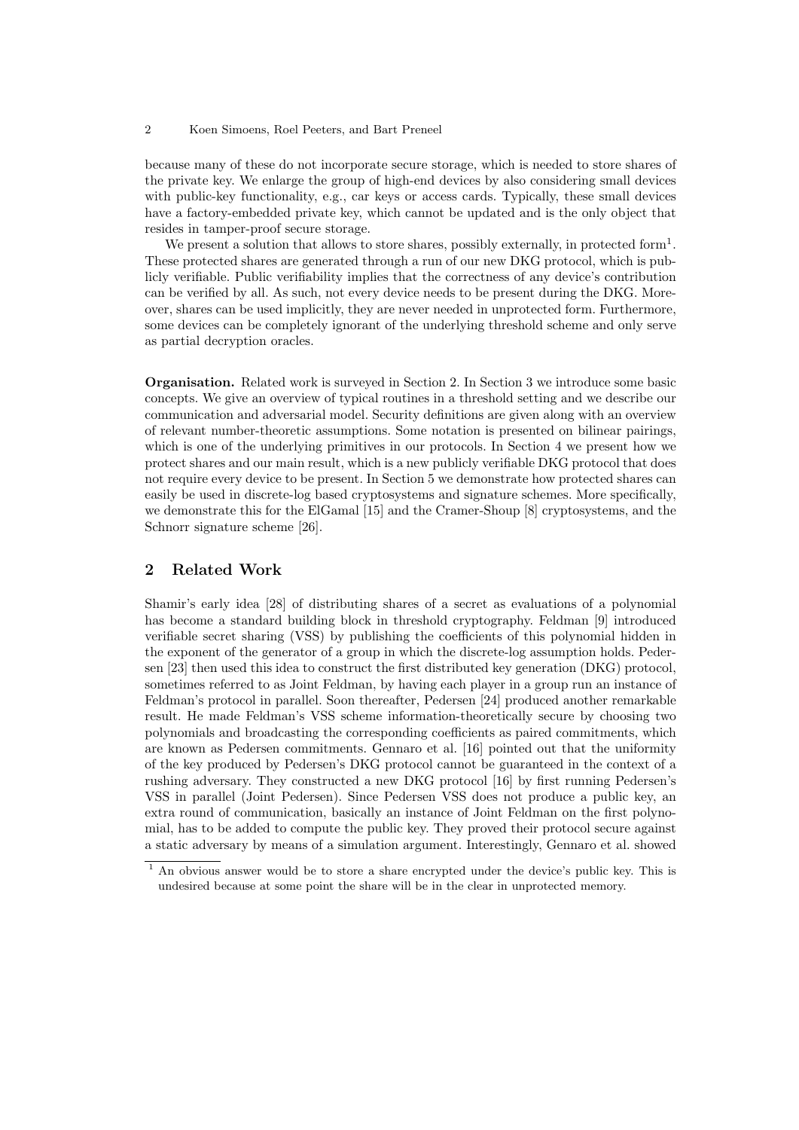because many of these do not incorporate secure storage, which is needed to store shares of the private key. We enlarge the group of high-end devices by also considering small devices with public-key functionality, e.g., car keys or access cards. Typically, these small devices have a factory-embedded private key, which cannot be updated and is the only object that resides in tamper-proof secure storage.

We present a solution that allows to store shares, possibly externally, in protected form<sup>1</sup>. These protected shares are generated through a run of our new DKG protocol, which is publicly verifiable. Public verifiability implies that the correctness of any device's contribution can be verified by all. As such, not every device needs to be present during the DKG. Moreover, shares can be used implicitly, they are never needed in unprotected form. Furthermore, some devices can be completely ignorant of the underlying threshold scheme and only serve as partial decryption oracles.

Organisation. Related work is surveyed in Section 2. In Section 3 we introduce some basic concepts. We give an overview of typical routines in a threshold setting and we describe our communication and adversarial model. Security definitions are given along with an overview of relevant number-theoretic assumptions. Some notation is presented on bilinear pairings, which is one of the underlying primitives in our protocols. In Section 4 we present how we protect shares and our main result, which is a new publicly verifiable DKG protocol that does not require every device to be present. In Section 5 we demonstrate how protected shares can easily be used in discrete-log based cryptosystems and signature schemes. More specifically, we demonstrate this for the ElGamal [15] and the Cramer-Shoup [8] cryptosystems, and the Schnorr signature scheme [26].

# 2 Related Work

Shamir's early idea [28] of distributing shares of a secret as evaluations of a polynomial has become a standard building block in threshold cryptography. Feldman [9] introduced verifiable secret sharing (VSS) by publishing the coefficients of this polynomial hidden in the exponent of the generator of a group in which the discrete-log assumption holds. Pedersen [23] then used this idea to construct the first distributed key generation (DKG) protocol, sometimes referred to as Joint Feldman, by having each player in a group run an instance of Feldman's protocol in parallel. Soon thereafter, Pedersen [24] produced another remarkable result. He made Feldman's VSS scheme information-theoretically secure by choosing two polynomials and broadcasting the corresponding coefficients as paired commitments, which are known as Pedersen commitments. Gennaro et al. [16] pointed out that the uniformity of the key produced by Pedersen's DKG protocol cannot be guaranteed in the context of a rushing adversary. They constructed a new DKG protocol [16] by first running Pedersen's VSS in parallel (Joint Pedersen). Since Pedersen VSS does not produce a public key, an extra round of communication, basically an instance of Joint Feldman on the first polynomial, has to be added to compute the public key. They proved their protocol secure against a static adversary by means of a simulation argument. Interestingly, Gennaro et al. showed

<sup>1</sup> An obvious answer would be to store a share encrypted under the device's public key. This is undesired because at some point the share will be in the clear in unprotected memory.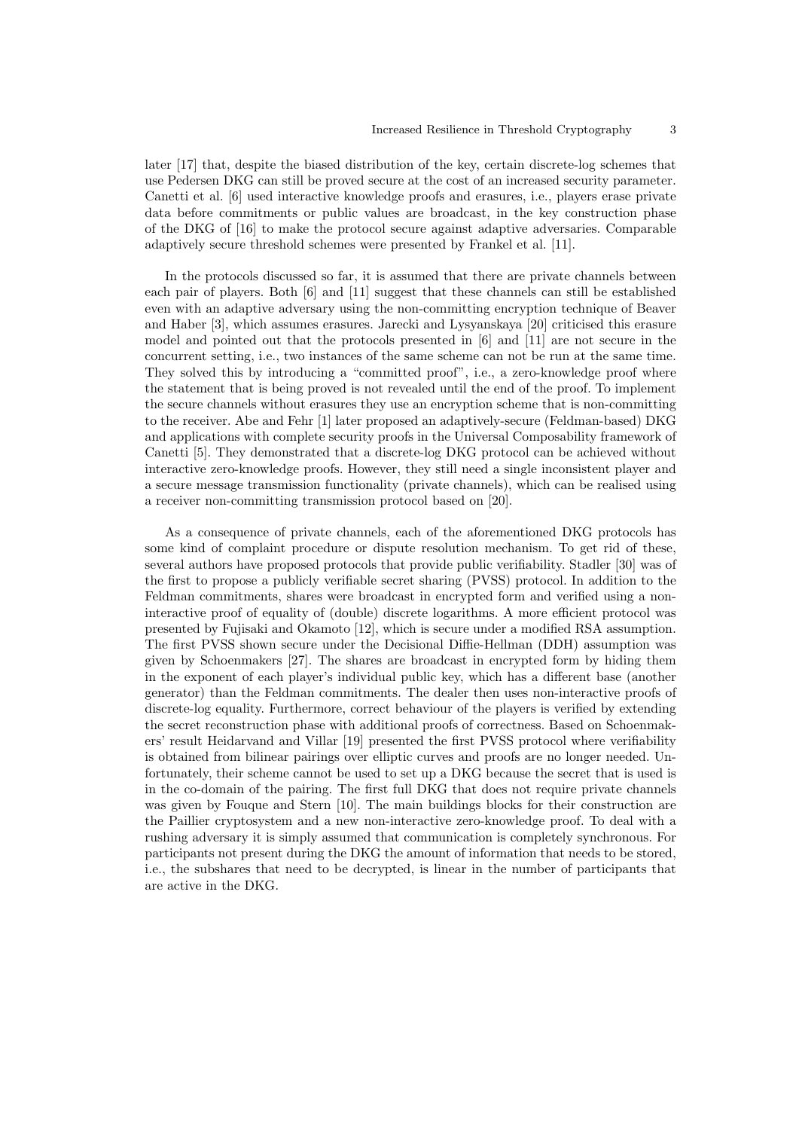later [17] that, despite the biased distribution of the key, certain discrete-log schemes that use Pedersen DKG can still be proved secure at the cost of an increased security parameter. Canetti et al. [6] used interactive knowledge proofs and erasures, i.e., players erase private data before commitments or public values are broadcast, in the key construction phase of the DKG of [16] to make the protocol secure against adaptive adversaries. Comparable adaptively secure threshold schemes were presented by Frankel et al. [11].

In the protocols discussed so far, it is assumed that there are private channels between each pair of players. Both [6] and [11] suggest that these channels can still be established even with an adaptive adversary using the non-committing encryption technique of Beaver and Haber [3], which assumes erasures. Jarecki and Lysyanskaya [20] criticised this erasure model and pointed out that the protocols presented in [6] and [11] are not secure in the concurrent setting, i.e., two instances of the same scheme can not be run at the same time. They solved this by introducing a "committed proof", i.e., a zero-knowledge proof where the statement that is being proved is not revealed until the end of the proof. To implement the secure channels without erasures they use an encryption scheme that is non-committing to the receiver. Abe and Fehr [1] later proposed an adaptively-secure (Feldman-based) DKG and applications with complete security proofs in the Universal Composability framework of Canetti [5]. They demonstrated that a discrete-log DKG protocol can be achieved without interactive zero-knowledge proofs. However, they still need a single inconsistent player and a secure message transmission functionality (private channels), which can be realised using a receiver non-committing transmission protocol based on [20].

As a consequence of private channels, each of the aforementioned DKG protocols has some kind of complaint procedure or dispute resolution mechanism. To get rid of these, several authors have proposed protocols that provide public verifiability. Stadler [30] was of the first to propose a publicly verifiable secret sharing (PVSS) protocol. In addition to the Feldman commitments, shares were broadcast in encrypted form and verified using a noninteractive proof of equality of (double) discrete logarithms. A more efficient protocol was presented by Fujisaki and Okamoto [12], which is secure under a modified RSA assumption. The first PVSS shown secure under the Decisional Diffie-Hellman (DDH) assumption was given by Schoenmakers [27]. The shares are broadcast in encrypted form by hiding them in the exponent of each player's individual public key, which has a different base (another generator) than the Feldman commitments. The dealer then uses non-interactive proofs of discrete-log equality. Furthermore, correct behaviour of the players is verified by extending the secret reconstruction phase with additional proofs of correctness. Based on Schoenmakers' result Heidarvand and Villar [19] presented the first PVSS protocol where verifiability is obtained from bilinear pairings over elliptic curves and proofs are no longer needed. Unfortunately, their scheme cannot be used to set up a DKG because the secret that is used is in the co-domain of the pairing. The first full DKG that does not require private channels was given by Fouque and Stern [10]. The main buildings blocks for their construction are the Paillier cryptosystem and a new non-interactive zero-knowledge proof. To deal with a rushing adversary it is simply assumed that communication is completely synchronous. For participants not present during the DKG the amount of information that needs to be stored, i.e., the subshares that need to be decrypted, is linear in the number of participants that are active in the DKG.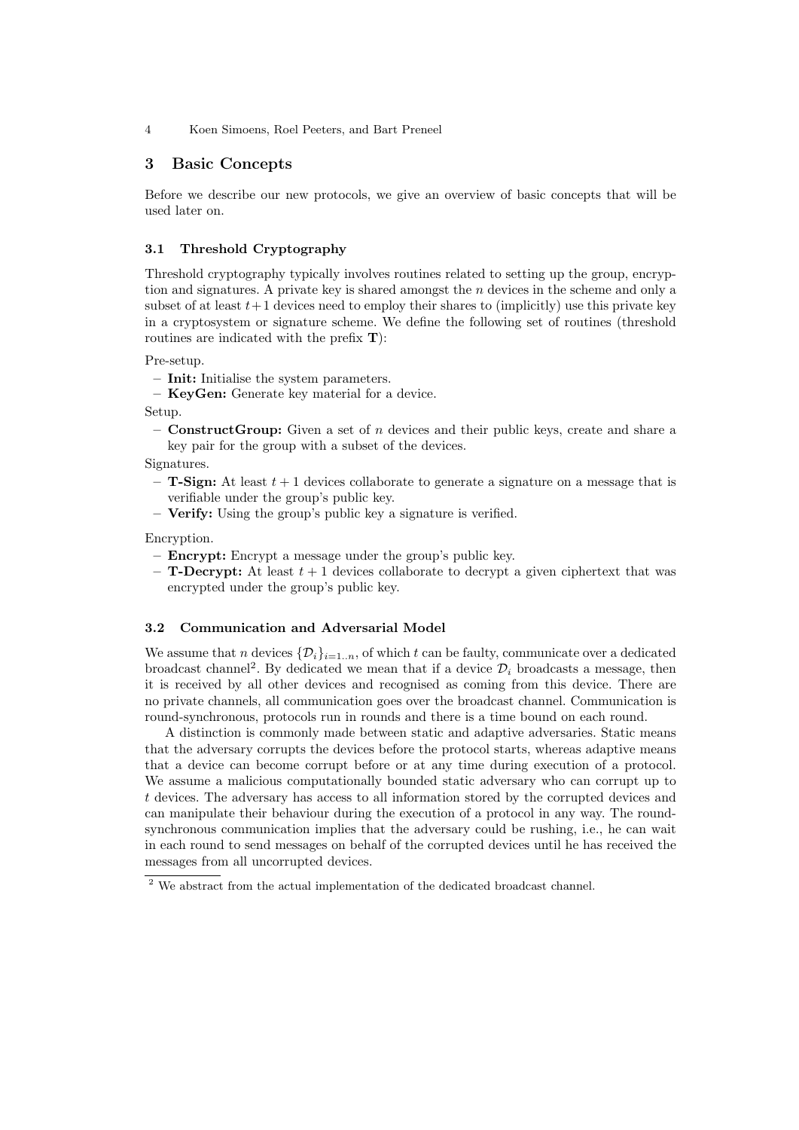# 3 Basic Concepts

Before we describe our new protocols, we give an overview of basic concepts that will be used later on.

### 3.1 Threshold Cryptography

Threshold cryptography typically involves routines related to setting up the group, encryption and signatures. A private key is shared amongst the n devices in the scheme and only a subset of at least  $t+1$  devices need to employ their shares to (implicitly) use this private key in a cryptosystem or signature scheme. We define the following set of routines (threshold routines are indicated with the prefix T):

Pre-setup.

- Init: Initialise the system parameters.
- KeyGen: Generate key material for a device.

Setup.

– **ConstructGroup:** Given a set of n devices and their public keys, create and share a key pair for the group with a subset of the devices.

Signatures.

- $-$  **T-Sign:** At least  $t + 1$  devices collaborate to generate a signature on a message that is verifiable under the group's public key.
- Verify: Using the group's public key a signature is verified.

Encryption.

- Encrypt: Encrypt a message under the group's public key.
- $-$  **T-Decrypt:** At least  $t + 1$  devices collaborate to decrypt a given ciphertext that was encrypted under the group's public key.

#### 3.2 Communication and Adversarial Model

We assume that n devices  $\{\mathcal{D}_i\}_{i=1..n}$ , of which t can be faulty, communicate over a dedicated broadcast channel<sup>2</sup>. By dedicated we mean that if a device  $\mathcal{D}_i$  broadcasts a message, then it is received by all other devices and recognised as coming from this device. There are no private channels, all communication goes over the broadcast channel. Communication is round-synchronous, protocols run in rounds and there is a time bound on each round.

A distinction is commonly made between static and adaptive adversaries. Static means that the adversary corrupts the devices before the protocol starts, whereas adaptive means that a device can become corrupt before or at any time during execution of a protocol. We assume a malicious computationally bounded static adversary who can corrupt up to t devices. The adversary has access to all information stored by the corrupted devices and can manipulate their behaviour during the execution of a protocol in any way. The roundsynchronous communication implies that the adversary could be rushing, i.e., he can wait in each round to send messages on behalf of the corrupted devices until he has received the messages from all uncorrupted devices.

 $2$  We abstract from the actual implementation of the dedicated broadcast channel.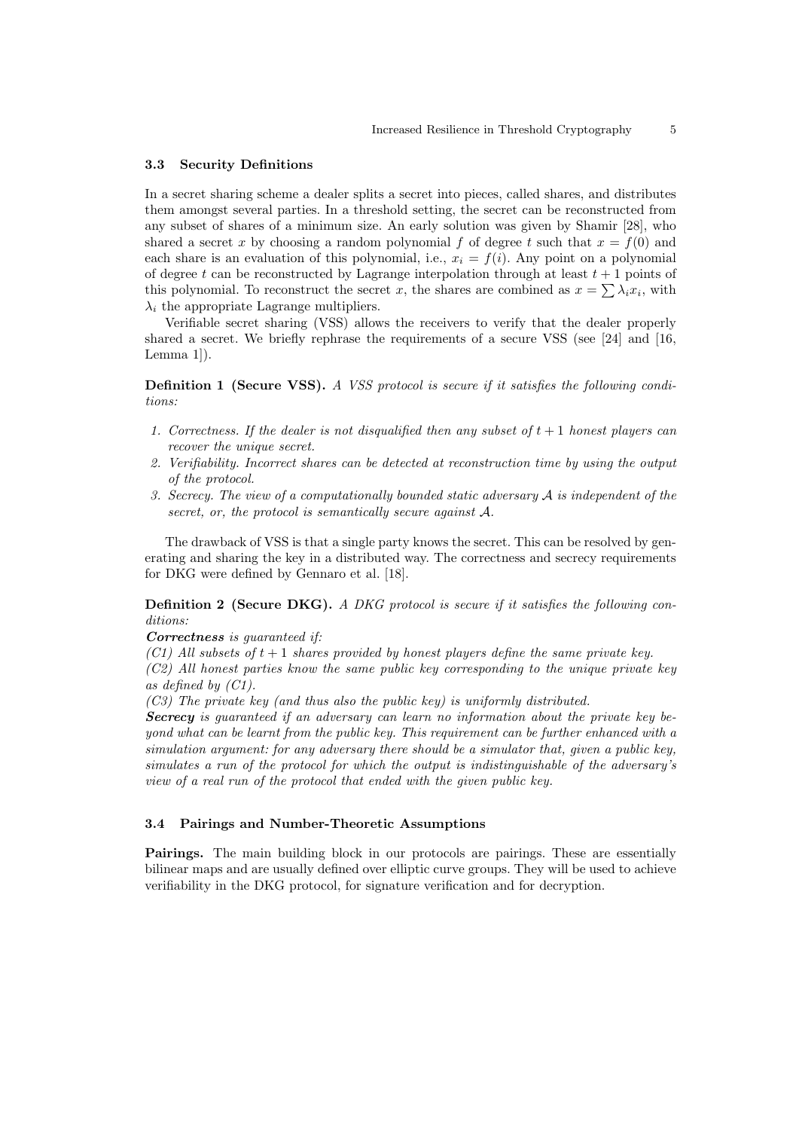#### 3.3 Security Definitions

In a secret sharing scheme a dealer splits a secret into pieces, called shares, and distributes them amongst several parties. In a threshold setting, the secret can be reconstructed from any subset of shares of a minimum size. An early solution was given by Shamir [28], who shared a secret x by choosing a random polynomial f of degree t such that  $x = f(0)$  and each share is an evaluation of this polynomial, i.e.,  $x_i = f(i)$ . Any point on a polynomial of degree t can be reconstructed by Lagrange interpolation through at least  $t + 1$  points of this polynomial. To reconstruct the secret x, the shares are combined as  $x = \sum \lambda_i x_i$ , with  $\lambda_i$  the appropriate Lagrange multipliers.

Verifiable secret sharing (VSS) allows the receivers to verify that the dealer properly shared a secret. We briefly rephrase the requirements of a secure VSS (see [24] and [16, Lemma 1]).

Definition 1 (Secure VSS). A VSS protocol is secure if it satisfies the following conditions:

- 1. Correctness. If the dealer is not disqualified then any subset of  $t + 1$  honest players can recover the unique secret.
- 2. Verifiability. Incorrect shares can be detected at reconstruction time by using the output of the protocol.
- 3. Secrecy. The view of a computationally bounded static adversary A is independent of the secret, or, the protocol is semantically secure against A.

The drawback of VSS is that a single party knows the secret. This can be resolved by generating and sharing the key in a distributed way. The correctness and secrecy requirements for DKG were defined by Gennaro et al. [18].

**Definition 2 (Secure DKG).** A DKG protocol is secure if it satisfies the following conditions:

#### Correctness is guaranteed if:

(C1) All subsets of  $t + 1$  shares provided by honest players define the same private key. (C2) All honest parties know the same public key corresponding to the unique private key as defined by (C1).

(C3) The private key (and thus also the public key) is uniformly distributed.

Secrecy is quaranteed if an adversary can learn no information about the private key beyond what can be learnt from the public key. This requirement can be further enhanced with a simulation argument: for any adversary there should be a simulator that, given a public key, simulates a run of the protocol for which the output is indistinguishable of the adversary's view of a real run of the protocol that ended with the given public key.

#### 3.4 Pairings and Number-Theoretic Assumptions

Pairings. The main building block in our protocols are pairings. These are essentially bilinear maps and are usually defined over elliptic curve groups. They will be used to achieve verifiability in the DKG protocol, for signature verification and for decryption.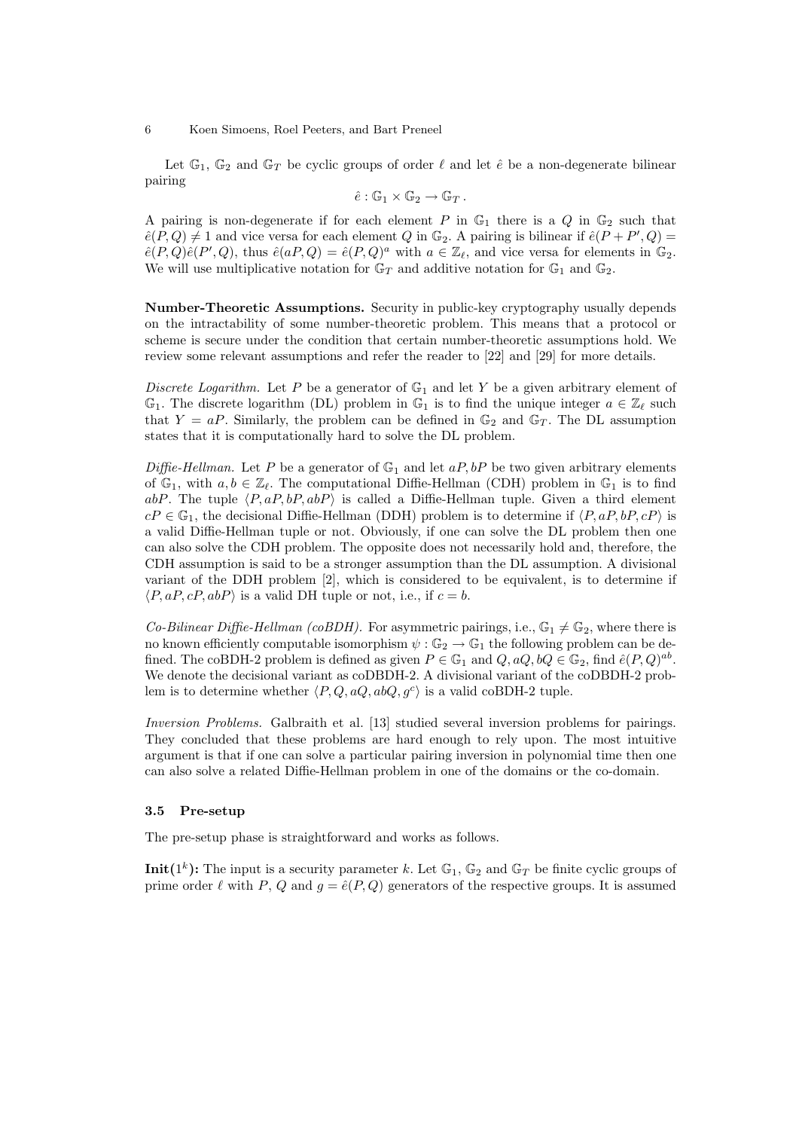Let  $\mathbb{G}_1$ ,  $\mathbb{G}_2$  and  $\mathbb{G}_T$  be cyclic groups of order  $\ell$  and let  $\hat{e}$  be a non-degenerate bilinear pairing

$$
\hat{e} : \mathbb{G}_1 \times \mathbb{G}_2 \to \mathbb{G}_T.
$$

A pairing is non-degenerate if for each element P in  $\mathbb{G}_1$  there is a Q in  $\mathbb{G}_2$  such that  $\hat{e}(P,Q) \neq 1$  and vice versa for each element Q in  $\mathbb{G}_2$ . A pairing is bilinear if  $\hat{e}(P + P', Q) =$  $\hat{e}(P,Q)\hat{e}(P',Q)$ , thus  $\hat{e}(aP,Q) = \hat{e}(P,Q)^a$  with  $a \in \mathbb{Z}_{\ell}$ , and vice versa for elements in  $\mathbb{G}_2$ . We will use multiplicative notation for  $\mathbb{G}_T$  and additive notation for  $\mathbb{G}_1$  and  $\mathbb{G}_2$ .

Number-Theoretic Assumptions. Security in public-key cryptography usually depends on the intractability of some number-theoretic problem. This means that a protocol or scheme is secure under the condition that certain number-theoretic assumptions hold. We review some relevant assumptions and refer the reader to [22] and [29] for more details.

Discrete Logarithm. Let P be a generator of  $\mathbb{G}_1$  and let Y be a given arbitrary element of  $\mathbb{G}_1$ . The discrete logarithm (DL) problem in  $\mathbb{G}_1$  is to find the unique integer  $a \in \mathbb{Z}_\ell$  such that  $Y = aP$ . Similarly, the problem can be defined in  $\mathbb{G}_2$  and  $\mathbb{G}_T$ . The DL assumption states that it is computationally hard to solve the DL problem.

Diffie-Hellman. Let P be a generator of  $\mathbb{G}_1$  and let  $aP, bP$  be two given arbitrary elements of  $\mathbb{G}_1$ , with  $a, b \in \mathbb{Z}_{\ell}$ . The computational Diffie-Hellman (CDH) problem in  $\mathbb{G}_1$  is to find abP. The tuple  $\langle P, aP, bP, abP \rangle$  is called a Diffie-Hellman tuple. Given a third element  $cP \in \mathbb{G}_1$ , the decisional Diffie-Hellman (DDH) problem is to determine if  $\langle P, aP, bP, cP \rangle$  is a valid Diffie-Hellman tuple or not. Obviously, if one can solve the DL problem then one can also solve the CDH problem. The opposite does not necessarily hold and, therefore, the CDH assumption is said to be a stronger assumption than the DL assumption. A divisional variant of the DDH problem [2], which is considered to be equivalent, is to determine if  $\langle P, aP, cP, abP \rangle$  is a valid DH tuple or not, i.e., if  $c = b$ .

*Co-Bilinear Diffie-Hellman (coBDH)*. For asymmetric pairings, i.e.,  $\mathbb{G}_1 \neq \mathbb{G}_2$ , where there is no known efficiently computable isomorphism  $\psi : \mathbb{G}_2 \to \mathbb{G}_1$  the following problem can be defined. The coBDH-2 problem is defined as given  $P \in \mathbb{G}_1$  and  $Q$ ,  $aQ$ ,  $bQ \in \mathbb{G}_2$ , find  $\hat{e}(P,Q)^{ab}$ . We denote the decisional variant as coDBDH-2. A divisional variant of the coDBDH-2 problem is to determine whether  $\langle P, Q, aQ, abQ, g^c \rangle$  is a valid coBDH-2 tuple.

Inversion Problems. Galbraith et al. [13] studied several inversion problems for pairings. They concluded that these problems are hard enough to rely upon. The most intuitive argument is that if one can solve a particular pairing inversion in polynomial time then one can also solve a related Diffie-Hellman problem in one of the domains or the co-domain.

#### 3.5 Pre-setup

The pre-setup phase is straightforward and works as follows.

**Init**(1<sup>k</sup>): The input is a security parameter k. Let  $\mathbb{G}_1$ ,  $\mathbb{G}_2$  and  $\mathbb{G}_T$  be finite cyclic groups of prime order  $\ell$  with P, Q and  $g = \hat{e}(P, Q)$  generators of the respective groups. It is assumed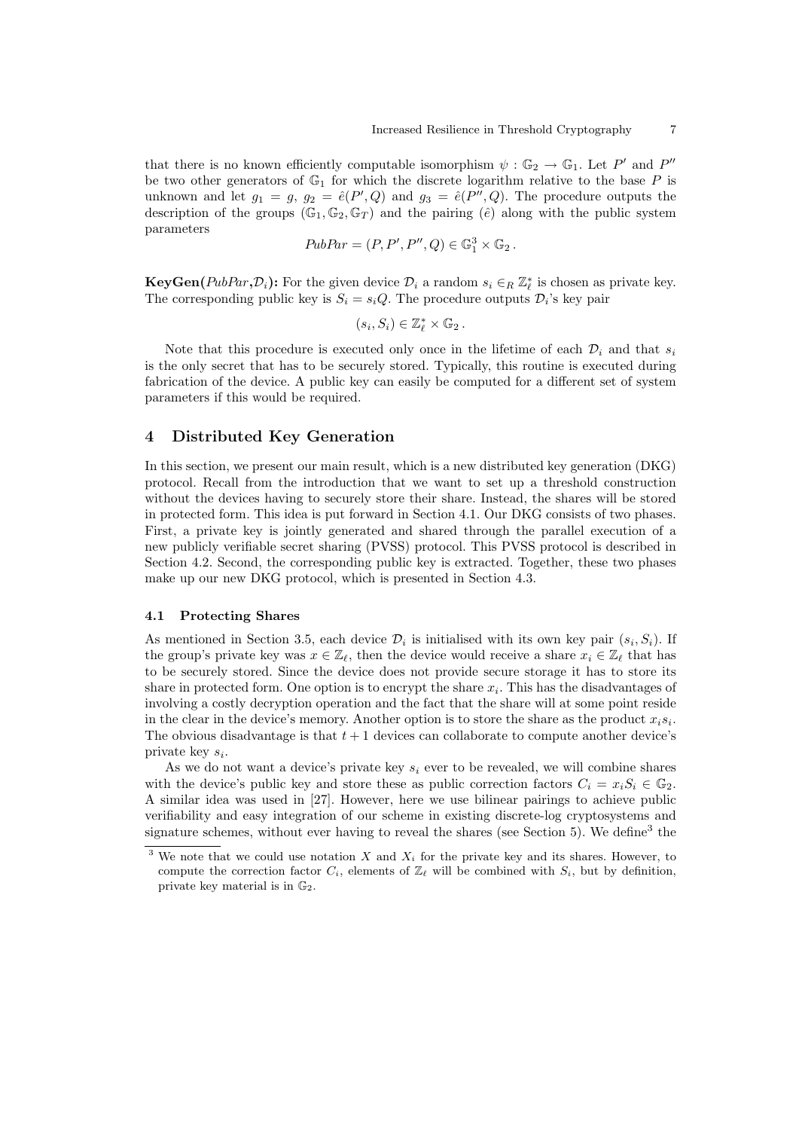that there is no known efficiently computable isomorphism  $\psi : \mathbb{G}_2 \to \mathbb{G}_1$ . Let P' and P'' be two other generators of  $\mathbb{G}_1$  for which the discrete logarithm relative to the base P is unknown and let  $g_1 = g$ ,  $g_2 = \hat{e}(P', Q)$  and  $g_3 = \hat{e}(P'', Q)$ . The procedure outputs the description of the groups  $(\mathbb{G}_1, \mathbb{G}_2, \mathbb{G}_T)$  and the pairing  $(\hat{e})$  along with the public system parameters

$$
PubPar = (P, P', P'', Q) \in \mathbb{G}_1^3 \times \mathbb{G}_2.
$$

**KeyGen**( $PubPar, D<sub>i</sub>$ ): For the given device  $D<sub>i</sub>$  a random  $s<sub>i</sub> \in R \mathbb{Z}_\ell^*$  is chosen as private key. The corresponding public key is  $S_i = s_i Q$ . The procedure outputs  $\mathcal{D}_i$ 's key pair

$$
(s_i, S_i) \in \mathbb{Z}_{\ell}^* \times \mathbb{G}_2.
$$

Note that this procedure is executed only once in the lifetime of each  $\mathcal{D}_i$  and that  $s_i$ is the only secret that has to be securely stored. Typically, this routine is executed during fabrication of the device. A public key can easily be computed for a different set of system parameters if this would be required.

# 4 Distributed Key Generation

In this section, we present our main result, which is a new distributed key generation (DKG) protocol. Recall from the introduction that we want to set up a threshold construction without the devices having to securely store their share. Instead, the shares will be stored in protected form. This idea is put forward in Section 4.1. Our DKG consists of two phases. First, a private key is jointly generated and shared through the parallel execution of a new publicly verifiable secret sharing (PVSS) protocol. This PVSS protocol is described in Section 4.2. Second, the corresponding public key is extracted. Together, these two phases make up our new DKG protocol, which is presented in Section 4.3.

### 4.1 Protecting Shares

As mentioned in Section 3.5, each device  $\mathcal{D}_i$  is initialised with its own key pair  $(s_i, S_i)$ . If the group's private key was  $x \in \mathbb{Z}_\ell$ , then the device would receive a share  $x_i \in \mathbb{Z}_\ell$  that has to be securely stored. Since the device does not provide secure storage it has to store its share in protected form. One option is to encrypt the share  $x_i$ . This has the disadvantages of involving a costly decryption operation and the fact that the share will at some point reside in the clear in the device's memory. Another option is to store the share as the product  $x_i s_i$ . The obvious disadvantage is that  $t + 1$  devices can collaborate to compute another device's private key  $s_i$ .

As we do not want a device's private key  $s_i$  ever to be revealed, we will combine shares with the device's public key and store these as public correction factors  $C_i = x_i S_i \in \mathbb{G}_2$ . A similar idea was used in [27]. However, here we use bilinear pairings to achieve public verifiability and easy integration of our scheme in existing discrete-log cryptosystems and signature schemes, without ever having to reveal the shares (see Section 5). We define<sup>3</sup> the

<sup>&</sup>lt;sup>3</sup> We note that we could use notation X and  $X_i$  for the private key and its shares. However, to compute the correction factor  $C_i$ , elements of  $\mathbb{Z}_{\ell}$  will be combined with  $S_i$ , but by definition, private key material is in G2.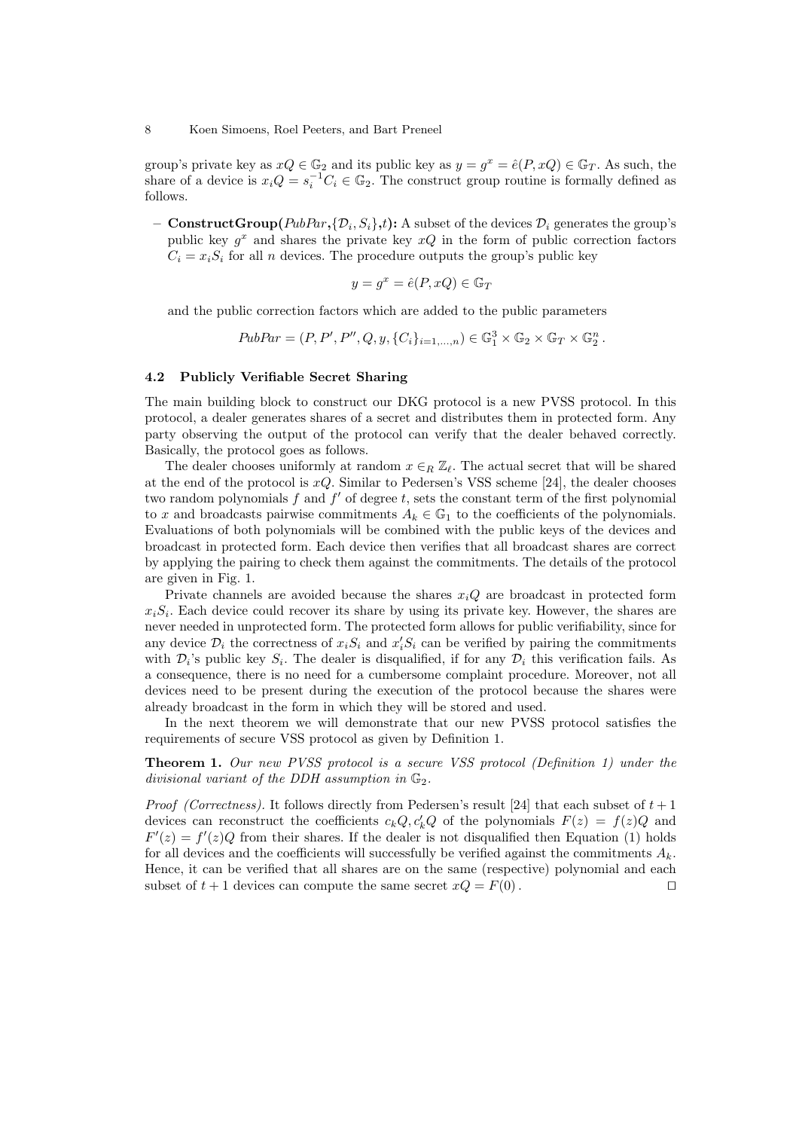group's private key as  $xQ \in \mathbb{G}_2$  and its public key as  $y = g^x = \hat{e}(P, xQ) \in \mathbb{G}_T$ . As such, the share of a device is  $x_iQ = s_i^{-1}C_i \in \mathbb{G}_2$ . The construct group routine is formally defined as follows.

 $-$  ConstructGroup( $PubPar, {D_i, S_i}, t$ ): A subset of the devices  ${\mathcal{D}_i}$  generates the group's public key  $g^x$  and shares the private key  $xQ$  in the form of public correction factors  $C_i = x_i S_i$  for all *n* devices. The procedure outputs the group's public key

$$
y = g^x = \hat{e}(P, xQ) \in \mathbb{G}_T
$$

and the public correction factors which are added to the public parameters

$$
PubPar = (P, P', P'', Q, y, \{C_i\}_{i=1,\dots,n}) \in \mathbb{G}_1^3 \times \mathbb{G}_2 \times \mathbb{G}_T \times \mathbb{G}_2^n.
$$

#### 4.2 Publicly Verifiable Secret Sharing

The main building block to construct our DKG protocol is a new PVSS protocol. In this protocol, a dealer generates shares of a secret and distributes them in protected form. Any party observing the output of the protocol can verify that the dealer behaved correctly. Basically, the protocol goes as follows.

The dealer chooses uniformly at random  $x \in_R \mathbb{Z}_\ell$ . The actual secret that will be shared at the end of the protocol is  $xQ$ . Similar to Pedersen's VSS scheme [24], the dealer chooses two random polynomials  $f$  and  $f'$  of degree  $t$ , sets the constant term of the first polynomial to x and broadcasts pairwise commitments  $A_k \in \mathbb{G}_1$  to the coefficients of the polynomials. Evaluations of both polynomials will be combined with the public keys of the devices and broadcast in protected form. Each device then verifies that all broadcast shares are correct by applying the pairing to check them against the commitments. The details of the protocol are given in Fig. 1.

Private channels are avoided because the shares  $x_iQ$  are broadcast in protected form  $x_iS_i$ . Each device could recover its share by using its private key. However, the shares are never needed in unprotected form. The protected form allows for public verifiability, since for any device  $\mathcal{D}_i$  the correctness of  $x_iS_i$  and  $x_i'S_i$  can be verified by pairing the commitments with  $\mathcal{D}_i$ 's public key  $S_i$ . The dealer is disqualified, if for any  $\mathcal{D}_i$  this verification fails. As a consequence, there is no need for a cumbersome complaint procedure. Moreover, not all devices need to be present during the execution of the protocol because the shares were already broadcast in the form in which they will be stored and used.

In the next theorem we will demonstrate that our new PVSS protocol satisfies the requirements of secure VSS protocol as given by Definition 1.

Theorem 1. Our new PVSS protocol is a secure VSS protocol (Definition 1) under the divisional variant of the DDH assumption in  $\mathbb{G}_2$ .

*Proof (Correctness).* It follows directly from Pedersen's result [24] that each subset of  $t + 1$ devices can reconstruct the coefficients  $c_k Q, c'_k Q$  of the polynomials  $F(z) = f(z)Q$  and  $F'(z) = f'(z)Q$  from their shares. If the dealer is not disqualified then Equation (1) holds for all devices and the coefficients will successfully be verified against the commitments  $A_k$ . Hence, it can be verified that all shares are on the same (respective) polynomial and each subset of  $t + 1$  devices can compute the same secret  $xQ = F(0)$ .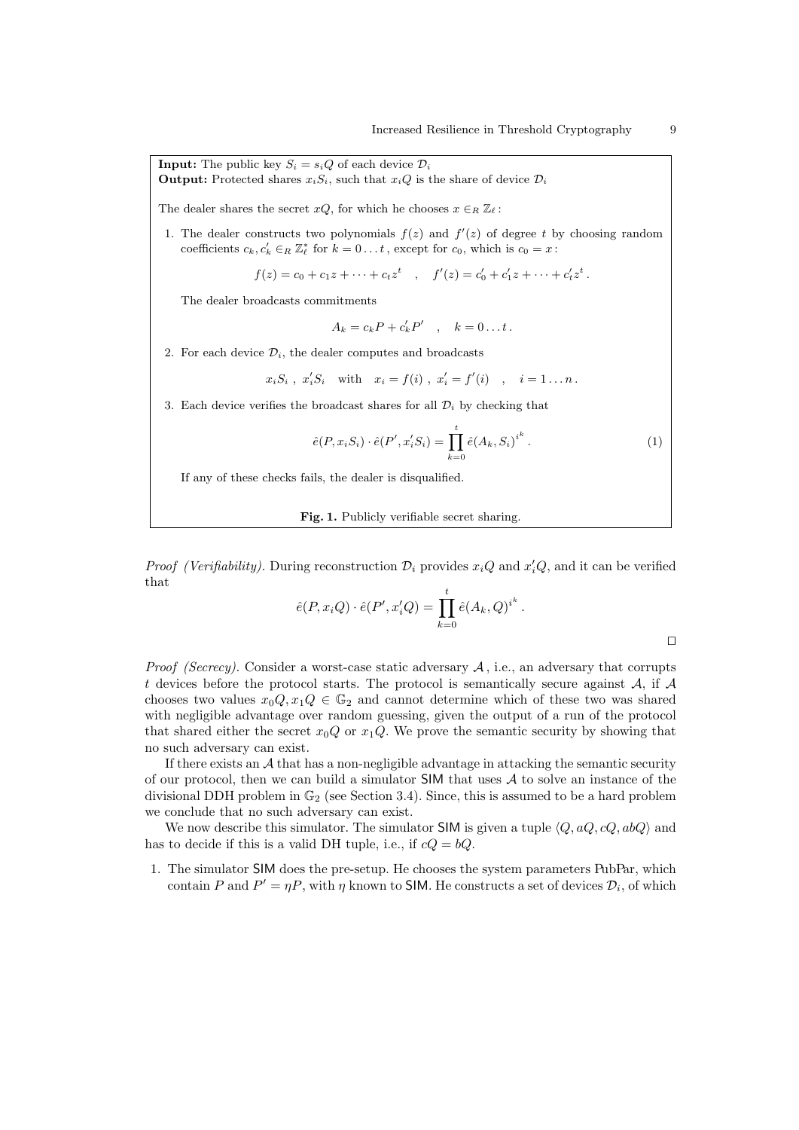**Input:** The public key  $S_i = s_i Q$  of each device  $\mathcal{D}_i$ **Output:** Protected shares  $x_iS_i$ , such that  $x_iQ$  is the share of device  $\mathcal{D}_i$ 

The dealer shares the secret  $xQ$ , for which he chooses  $x \in_R \mathbb{Z}_\ell$ :

1. The dealer constructs two polynomials  $f(z)$  and  $f'(z)$  of degree t by choosing random coefficients  $c_k, c'_k \in_R \mathbb{Z}_{\ell}^*$  for  $k = 0...t$ , except for  $c_0$ , which is  $c_0 = x$ :

$$
f(z) = c_0 + c_1 z + \dots + c_t z^t \quad , \quad f'(z) = c'_0 + c'_1 z + \dots + c'_t z^t \, .
$$

The dealer broadcasts commitments

$$
A_k = c_k P + c'_k P' \quad , \quad k = 0 \dots t \, .
$$

2. For each device  $\mathcal{D}_i$ , the dealer computes and broadcasts

$$
x_i S_i
$$
,  $x'_i S_i$  with  $x_i = f(i)$ ,  $x'_i = f'(i)$ ,  $i = 1...n$ .

3. Each device verifies the broadcast shares for all  $\mathcal{D}_i$  by checking that

$$
\hat{e}(P, x_i S_i) \cdot \hat{e}(P', x'_i S_i) = \prod_{k=0}^t \hat{e}(A_k, S_i)^{i^k} . \tag{1}
$$

If any of these checks fails, the dealer is disqualified.

Fig. 1. Publicly verifiable secret sharing.

*Proof (Verifiability)*. During reconstruction  $\mathcal{D}_i$  provides  $x_iQ$  and  $x'_iQ$ , and it can be verified that

$$
\hat{e}(P, x_i Q) \cdot \hat{e}(P', x'_i Q) = \prod_{k=0}^t \hat{e}(A_k, Q)^{i^k}.
$$

 $\Box$ 

*Proof (Secrecy).* Consider a worst-case static adversary  $A$ , i.e., an adversary that corrupts t devices before the protocol starts. The protocol is semantically secure against  $A$ , if  $A$ chooses two values  $x_0Q, x_1Q \in \mathbb{G}_2$  and cannot determine which of these two was shared with negligible advantage over random guessing, given the output of a run of the protocol that shared either the secret  $x_0Q$  or  $x_1Q$ . We prove the semantic security by showing that no such adversary can exist.

If there exists an  $A$  that has a non-negligible advantage in attacking the semantic security of our protocol, then we can build a simulator  $SIM$  that uses  $A$  to solve an instance of the divisional DDH problem in  $\mathbb{G}_2$  (see Section 3.4). Since, this is assumed to be a hard problem we conclude that no such adversary can exist.

We now describe this simulator. The simulator SIM is given a tuple  $\langle Q, aQ, cQ, abQ \rangle$  and has to decide if this is a valid DH tuple, i.e., if  $cQ = bQ$ .

1. The simulator SIM does the pre-setup. He chooses the system parameters PubPar, which contain P and  $P' = \eta P$ , with  $\eta$  known to SIM. He constructs a set of devices  $\mathcal{D}_i$ , of which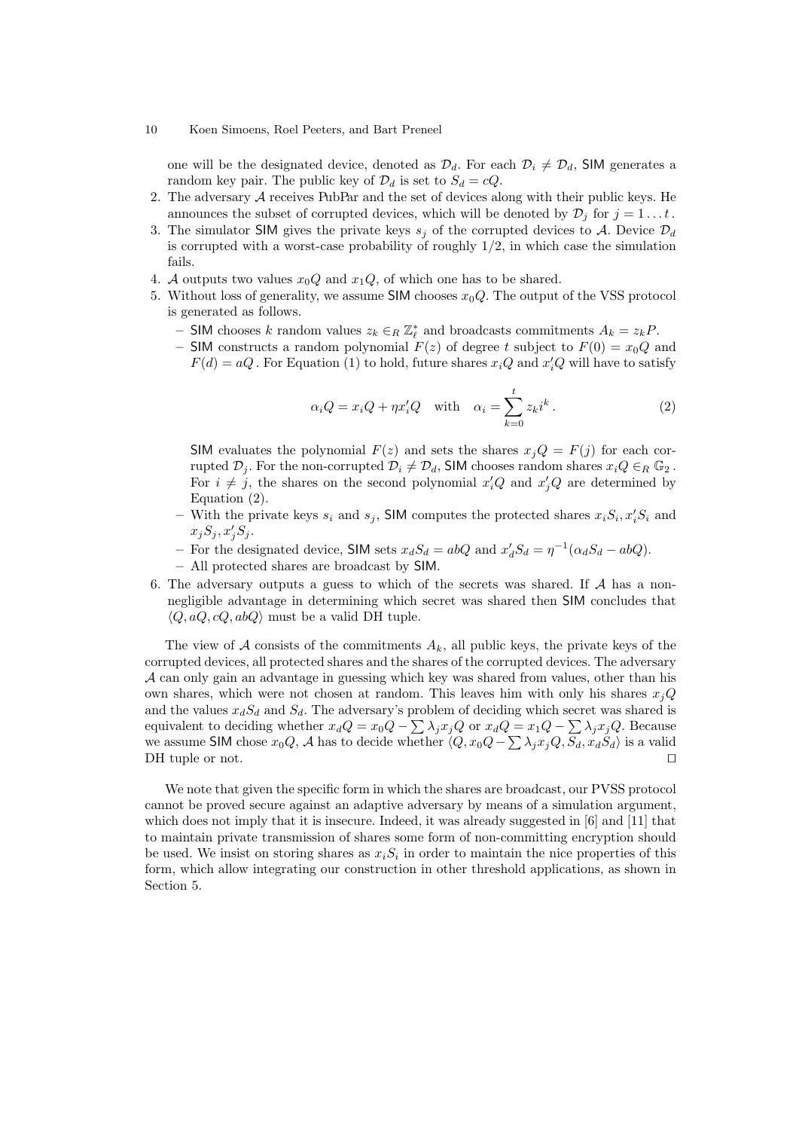one will be the designated device, denoted as  $\mathcal{D}_d$ . For each  $\mathcal{D}_i \neq \mathcal{D}_d$ , SIM generates a random key pair. The public key of  $\mathcal{D}_d$  is set to  $S_d = cQ$ .

- 2. The adversary  $A$  receives PubPar and the set of devices along with their public keys. He announces the subset of corrupted devices, which will be denoted by  $\mathcal{D}_i$  for  $j = 1 \dots t$ .
- 3. The simulator SIM gives the private keys  $s_i$  of the corrupted devices to A. Device  $\mathcal{D}_d$ is corrupted with a worst-case probability of roughly  $1/2$ , in which case the simulation fails.
- 4. A outputs two values  $x_0Q$  and  $x_1Q$ , of which one has to be shared.
- 5. Without loss of generality, we assume SIM chooses  $x_0Q$ . The output of the VSS protocol is generated as follows.
	- − SIM chooses k random values  $z_k \in_R \mathbb{Z}_{\ell}^*$  and broadcasts commitments  $A_k = z_k P$ .
	- SIM constructs a random polynomial  $F(z)$  of degree t subject to  $F(0) = x_0 Q$  and  $F(d) = aQ$ . For Equation (1) to hold, future shares  $x_iQ$  and  $x'_iQ$  will have to satisfy

$$
\alpha_i Q = x_i Q + \eta x_i' Q \quad \text{with} \quad \alpha_i = \sum_{k=0}^t z_k i^k \,. \tag{2}
$$

SIM evaluates the polynomial  $F(z)$  and sets the shares  $x_iQ = F(j)$  for each corrupted  $\mathcal{D}_j$ . For the non-corrupted  $\mathcal{D}_i \neq \mathcal{D}_d$ , SIM chooses random shares  $x_i Q \in_R \mathbb{G}_2$ . For  $i \neq j$ , the shares on the second polynomial  $x_i'Q$  and  $x_j'Q$  are determined by Equation (2).

- With the private keys  $s_i$  and  $s_j$ , SIM computes the protected shares  $x_i S_i, x'_i S_i$  and  $x_j S_j, x'_j S_j.$
- For the designated device, SIM sets  $x_dS_d = abQ$  and  $x'_dS_d = \eta^{-1}(\alpha_dS_d abQ)$ .
- All protected shares are broadcast by SIM.
- 6. The adversary outputs a guess to which of the secrets was shared. If A has a nonnegligible advantage in determining which secret was shared then SIM concludes that  $\langle Q, aQ, cQ, abQ \rangle$  must be a valid DH tuple.

The view of A consists of the commitments  $A_k$ , all public keys, the private keys of the corrupted devices, all protected shares and the shares of the corrupted devices. The adversary A can only gain an advantage in guessing which key was shared from values, other than his own shares, which were not chosen at random. This leaves him with only his shares  $x_jQ$ and the values  $x_dS_d$  and  $S_d$ . The adversary's problem of deciding which secret was shared is equivalent to deciding whether  $x_dQ = x_0Q - \sum \lambda_j x_jQ$  or  $x_dQ = x_1Q - \sum \lambda_j x_jQ$ . Because we assume SIM chose  $x_0Q$ , A has to decide whether  $\langle Q, x_0Q - \sum \lambda_j x_jQ, S_d, x_dS_d \rangle$  is a valid DH tuple or not.  $\Box$ 

We note that given the specific form in which the shares are broadcast, our PVSS protocol cannot be proved secure against an adaptive adversary by means of a simulation argument, which does not imply that it is insecure. Indeed, it was already suggested in [6] and [11] that to maintain private transmission of shares some form of non-committing encryption should be used. We insist on storing shares as  $x_iS_i$  in order to maintain the nice properties of this form, which allow integrating our construction in other threshold applications, as shown in Section 5.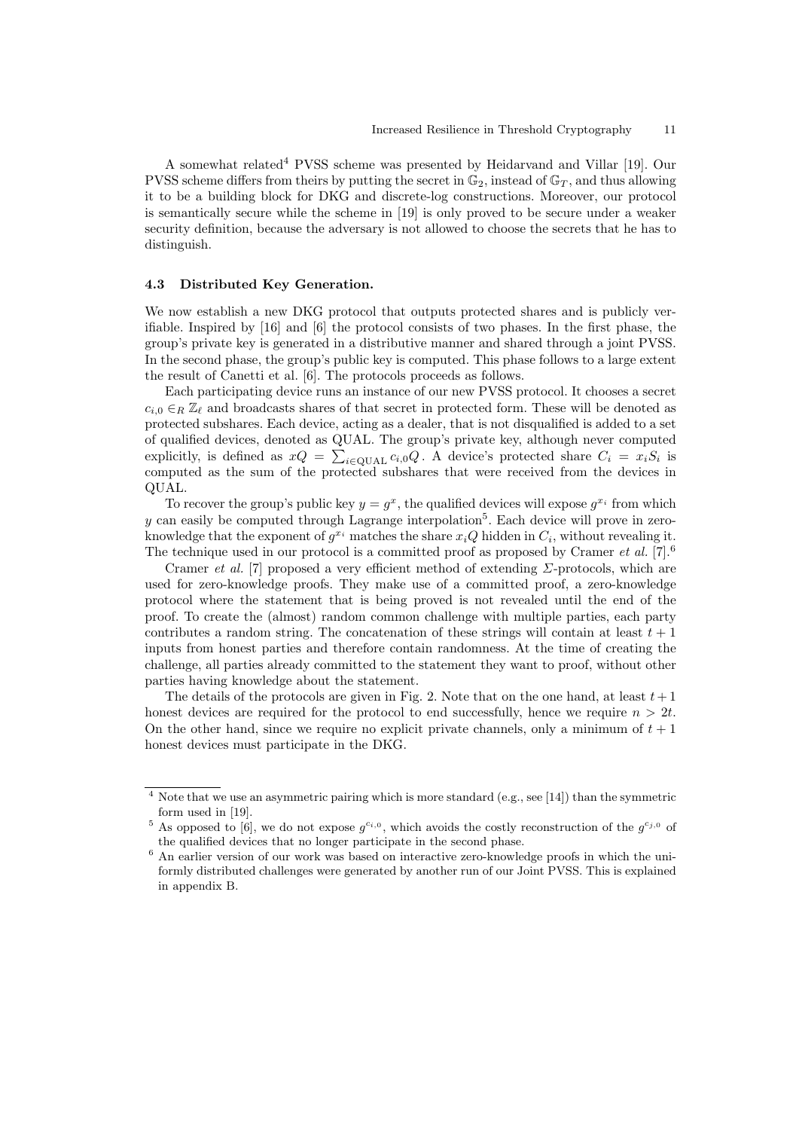A somewhat related<sup>4</sup> PVSS scheme was presented by Heidarvand and Villar [19]. Our PVSS scheme differs from theirs by putting the secret in  $\mathbb{G}_2$ , instead of  $\mathbb{G}_T$ , and thus allowing it to be a building block for DKG and discrete-log constructions. Moreover, our protocol is semantically secure while the scheme in [19] is only proved to be secure under a weaker security definition, because the adversary is not allowed to choose the secrets that he has to distinguish.

#### 4.3 Distributed Key Generation.

We now establish a new DKG protocol that outputs protected shares and is publicly verifiable. Inspired by [16] and [6] the protocol consists of two phases. In the first phase, the group's private key is generated in a distributive manner and shared through a joint PVSS. In the second phase, the group's public key is computed. This phase follows to a large extent the result of Canetti et al. [6]. The protocols proceeds as follows.

Each participating device runs an instance of our new PVSS protocol. It chooses a secret  $c_{i,0} \in_R \mathbb{Z}_\ell$  and broadcasts shares of that secret in protected form. These will be denoted as protected subshares. Each device, acting as a dealer, that is not disqualified is added to a set of qualified devices, denoted as QUAL. The group's private key, although never computed explicitly, is defined as  $xQ = \sum_{i \in \text{QUAL}} c_{i,0}Q$ . A device's protected share  $C_i = x_iS_i$  is computed as the sum of the protected subshares that were received from the devices in QUAL.

To recover the group's public key  $y = g^x$ , the qualified devices will expose  $g^{x_i}$  from which y can easily be computed through Lagrange interpolation<sup>5</sup>. Each device will prove in zeroknowledge that the exponent of  $g^{x_i}$  matches the share  $x_iQ$  hidden in  $C_i$ , without revealing it. The technique used in our protocol is a committed proof as proposed by Cramer *et al.* [7].<sup>6</sup>

Cramer *et al.* [7] proposed a very efficient method of extending  $\Sigma$ -protocols, which are used for zero-knowledge proofs. They make use of a committed proof, a zero-knowledge protocol where the statement that is being proved is not revealed until the end of the proof. To create the (almost) random common challenge with multiple parties, each party contributes a random string. The concatenation of these strings will contain at least  $t + 1$ inputs from honest parties and therefore contain randomness. At the time of creating the challenge, all parties already committed to the statement they want to proof, without other parties having knowledge about the statement.

The details of the protocols are given in Fig. 2. Note that on the one hand, at least  $t+1$ honest devices are required for the protocol to end successfully, hence we require  $n > 2t$ . On the other hand, since we require no explicit private channels, only a minimum of  $t + 1$ honest devices must participate in the DKG.

Note that we use an asymmetric pairing which is more standard (e.g., see [14]) than the symmetric form used in [19].

<sup>&</sup>lt;sup>5</sup> As opposed to [6], we do not expose  $g^{c_i,0}$ , which avoids the costly reconstruction of the  $g^{c_j,0}$  of the qualified devices that no longer participate in the second phase.

<sup>&</sup>lt;sup>6</sup> An earlier version of our work was based on interactive zero-knowledge proofs in which the uniformly distributed challenges were generated by another run of our Joint PVSS. This is explained in appendix B.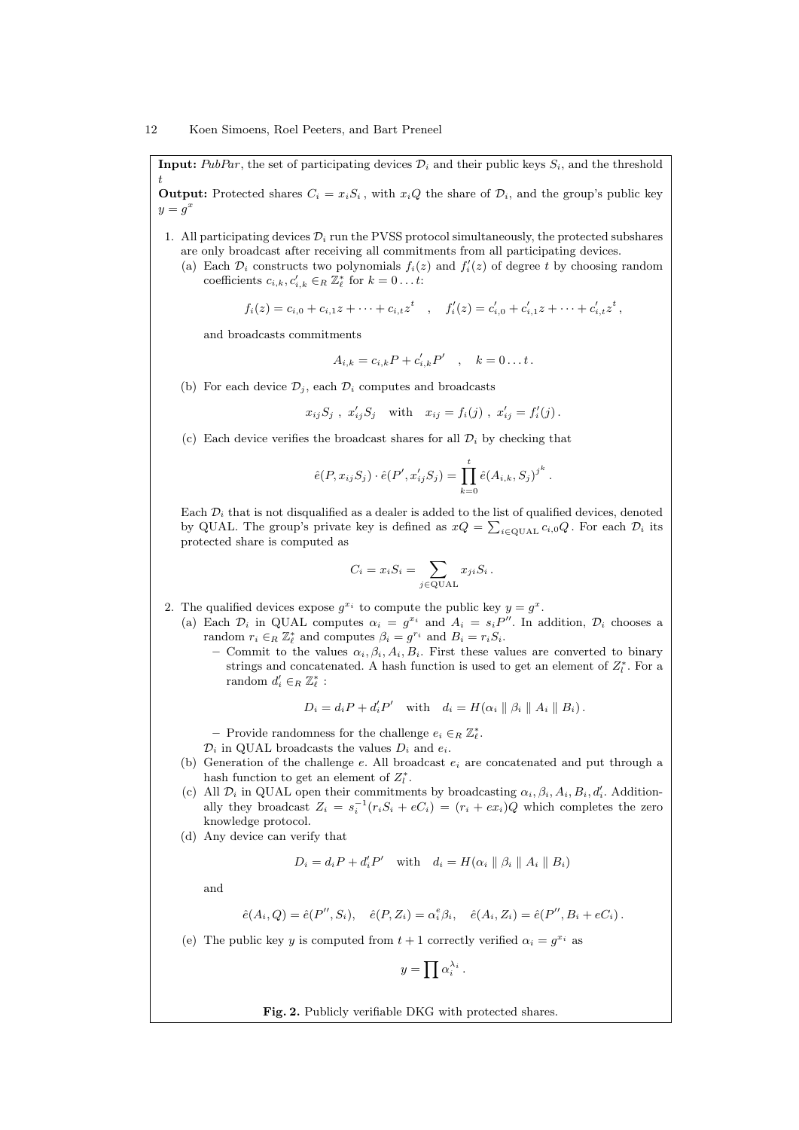**Input:** PubPar, the set of participating devices  $\mathcal{D}_i$  and their public keys  $S_i$ , and the threshold t

**Output:** Protected shares  $C_i = x_iS_i$ , with  $x_iQ$  the share of  $\mathcal{D}_i$ , and the group's public key  $y=g^x$ 

- 1. All participating devices  $\mathcal{D}_i$  run the PVSS protocol simultaneously, the protected subshares are only broadcast after receiving all commitments from all participating devices.
	- (a) Each  $\mathcal{D}_i$  constructs two polynomials  $f_i(z)$  and  $f'_i(z)$  of degree t by choosing random coefficients  $c_{i,k}, c'_{i,k} \in_R \mathbb{Z}_{\ell}^*$  for  $k = 0 \dots t$ :

$$
f_i(z) = c_{i,0} + c_{i,1}z + \cdots + c_{i,t}z^t \quad , \quad f'_i(z) = c'_{i,0} + c'_{i,1}z + \cdots + c'_{i,t}z^t \,,
$$

and broadcasts commitments

$$
A_{i,k} = c_{i,k}P + c'_{i,k}P' , \quad k = 0...t.
$$

(b) For each device  $\mathcal{D}_i$ , each  $\mathcal{D}_i$  computes and broadcasts

$$
x_{ij}S_j
$$
,  $x'_{ij}S_j$  with  $x_{ij} = f_i(j)$ ,  $x'_{ij} = f'_i(j)$ .

(c) Each device verifies the broadcast shares for all  $\mathcal{D}_i$  by checking that

$$
\hat{e}(P, x_{ij}S_j) \cdot \hat{e}(P', x'_{ij}S_j) = \prod_{k=0}^{t} \hat{e}(A_{i,k}, S_j)^{j^k}
$$

.

Each  $\mathcal{D}_i$  that is not disqualified as a dealer is added to the list of qualified devices, denoted by QUAL. The group's private key is defined as  $xQ = \sum_{i \in \text{QUAL}} c_{i,0}Q$ . For each  $\mathcal{D}_i$  its protected share is computed as

$$
C_i = x_i S_i = \sum_{j \in \text{QUAL}} x_{ji} S_i.
$$

- 2. The qualified devices expose  $g^{x_i}$  to compute the public key  $y = g^x$ .
	- (a) Each  $\mathcal{D}_i$  in QUAL computes  $\alpha_i = g^{x_i}$  and  $A_i = s_i P''$ . In addition,  $\mathcal{D}_i$  chooses a random  $r_i \in_R \mathbb{Z}_{\ell}^*$  and computes  $\beta_i = g^{r_i}$  and  $B_i = r_i S_i$ .
		- Commit to the values  $\alpha_i, \beta_i, A_i, B_i$ . First these values are converted to binary strings and concatenated. A hash function is used to get an element of  $Z_{l}^{*}$ . For a random  $d_i' \in_R \mathbb{Z}_{\ell}^*$ :

$$
D_i = d_i P + d'_i P' \quad \text{with} \quad d_i = H(\alpha_i \parallel \beta_i \parallel A_i \parallel B_i).
$$

− Provide randomness for the challenge  $e_i \in_R \mathbb{Z}_{\ell}^*$ .

- $\mathcal{D}_i$  in QUAL broadcasts the values  $D_i$  and  $e_i$ .
- (b) Generation of the challenge e. All broadcast  $e_i$  are concatenated and put through a hash function to get an element of  $Z_l^*$ .
- (c) All  $\mathcal{D}_i$  in QUAL open their commitments by broadcasting  $\alpha_i, \beta_i, A_i, B_i, d'_i$ . Additionally they broadcast  $Z_i = s_i^{-1}(r_i S_i + eC_i) = (r_i + e x_i)Q$  which completes the zero knowledge protocol.
- (d) Any device can verify that

$$
D_i = d_i P + d'_i P' \quad \text{with} \quad d_i = H(\alpha_i \parallel \beta_i \parallel A_i \parallel B_i)
$$

and

$$
\hat{e}(A_i, Q) = \hat{e}(P'', S_i), \quad \hat{e}(P, Z_i) = \alpha_i^e \beta_i, \quad \hat{e}(A_i, Z_i) = \hat{e}(P'', B_i + eC_i).
$$

(e) The public key y is computed from  $t + 1$  correctly verified  $\alpha_i = g^{x_i}$  as

 $y=\prod \alpha_i^{\lambda_i}.$ 

Fig. 2. Publicly verifiable DKG with protected shares.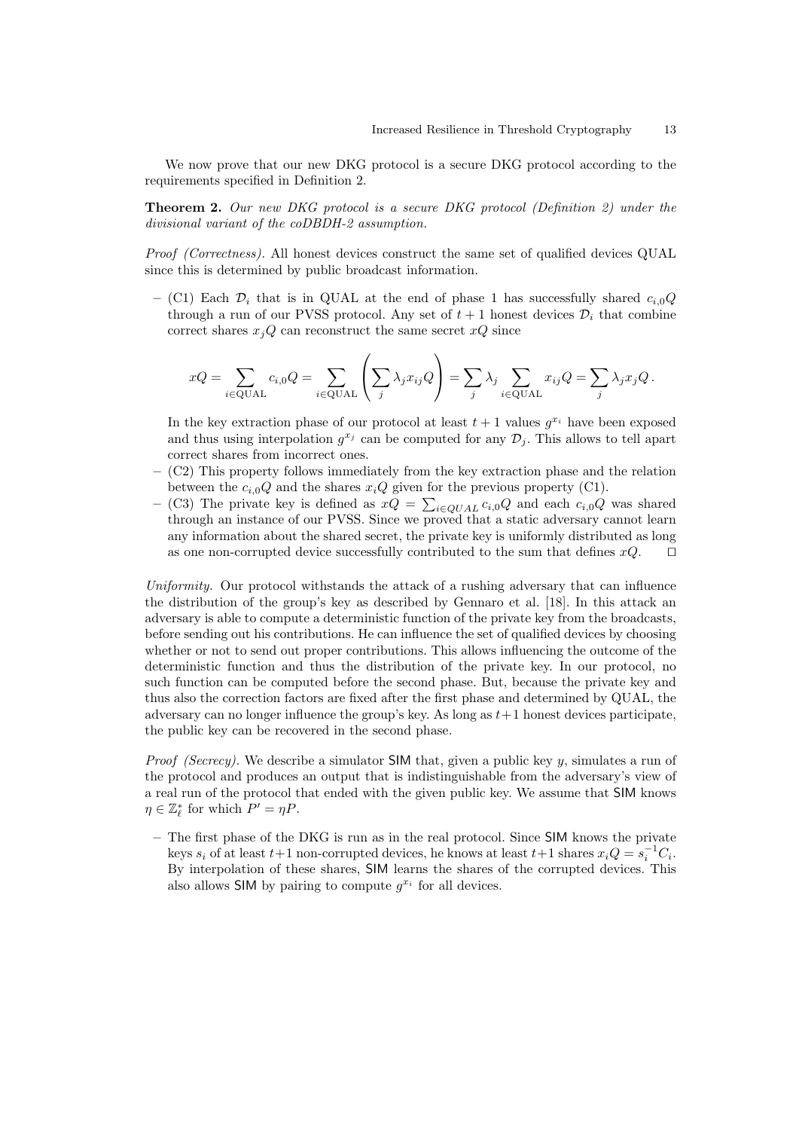We now prove that our new DKG protocol is a secure DKG protocol according to the requirements specified in Definition 2.

Theorem 2. Our new DKG protocol is a secure DKG protocol (Definition 2) under the divisional variant of the coDBDH-2 assumption.

Proof (Correctness). All honest devices construct the same set of qualified devices QUAL since this is determined by public broadcast information.

– (C1) Each  $\mathcal{D}_i$  that is in QUAL at the end of phase 1 has successfully shared  $c_{i,0}Q$ through a run of our PVSS protocol. Any set of  $t + 1$  honest devices  $\mathcal{D}_i$  that combine correct shares  $x_jQ$  can reconstruct the same secret  $xQ$  since

$$
xQ = \sum_{i \in \text{QUAL}} c_{i,0}Q = \sum_{i \in \text{QUAL}} \left( \sum_j \lambda_j x_{ij} Q \right) = \sum_j \lambda_j \sum_{i \in \text{QUAL}} x_{ij} Q = \sum_j \lambda_j x_j Q.
$$

In the key extraction phase of our protocol at least  $t + 1$  values  $g^{x_i}$  have been exposed and thus using interpolation  $g^{x_j}$  can be computed for any  $\mathcal{D}_j$ . This allows to tell apart correct shares from incorrect ones.

- (C2) This property follows immediately from the key extraction phase and the relation between the  $c_{i,0}Q$  and the shares  $x_iQ$  given for the previous property (C1).
- (C3) The private key is defined as  $xQ = \sum_{i\in QUAL} c_{i,0}Q$  and each  $c_{i,0}Q$  was shared through an instance of our PVSS. Since we proved that a static adversary cannot learn any information about the shared secret, the private key is uniformly distributed as long as one non-corrupted device successfully contributed to the sum that defines  $xQ$ .  $\Box$

Uniformity. Our protocol withstands the attack of a rushing adversary that can influence the distribution of the group's key as described by Gennaro et al. [18]. In this attack an adversary is able to compute a deterministic function of the private key from the broadcasts, before sending out his contributions. He can influence the set of qualified devices by choosing whether or not to send out proper contributions. This allows influencing the outcome of the deterministic function and thus the distribution of the private key. In our protocol, no such function can be computed before the second phase. But, because the private key and thus also the correction factors are fixed after the first phase and determined by QUAL, the adversary can no longer influence the group's key. As long as  $t+1$  honest devices participate, the public key can be recovered in the second phase.

*Proof (Secrecy).* We describe a simulator SIM that, given a public key y, simulates a run of the protocol and produces an output that is indistinguishable from the adversary's view of a real run of the protocol that ended with the given public key. We assume that SIM knows  $\eta \in \mathbb{Z}_{\ell}^*$  for which  $P' = \eta P$ .

– The first phase of the DKG is run as in the real protocol. Since SIM knows the private keys  $s_i$  of at least  $t+1$  non-corrupted devices, he knows at least  $t+1$  shares  $x_iQ = s_i^{-1}C_i$ . By interpolation of these shares, SIM learns the shares of the corrupted devices. This also allows SIM by pairing to compute  $g^{x_i}$  for all devices.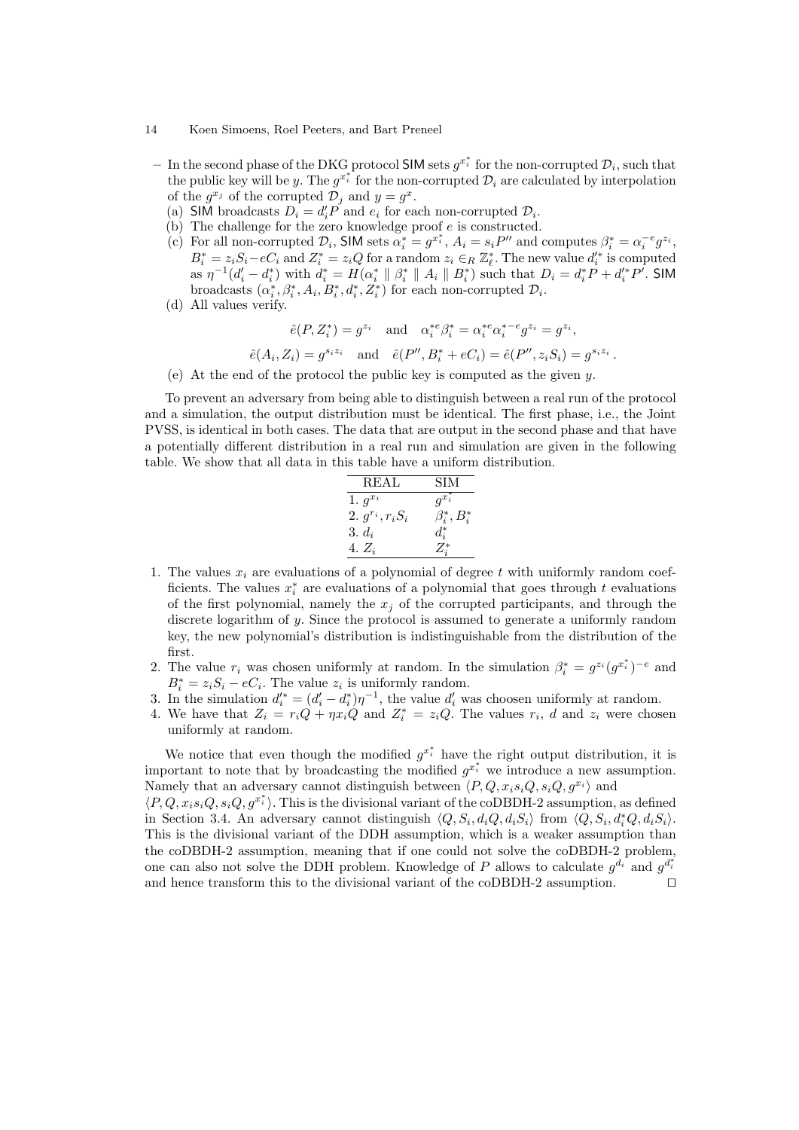- 14 Koen Simoens, Roel Peeters, and Bart Preneel
	- $-$  In the second phase of the DKG protocol SIM sets  $g^{x_i^*}$  for the non-corrupted  $\mathcal{D}_i$ , such that the public key will be y. The  $g^{x_i^*}$  for the non-corrupted  $\mathcal{D}_i$  are calculated by interpolation of the  $g^{x_j}$  of the corrupted  $\mathcal{D}_j$  and  $y = g^x$ .
		- (a) SIM broadcasts  $D_i = d'_i P$  and  $e_i$  for each non-corrupted  $D_i$ .
		- (b) The challenge for the zero knowledge proof  $e$  is constructed.
		- (c) For all non-corrupted  $\mathcal{D}_i$ , SIM sets  $\alpha_i^* = g^{x_i^*}$ ,  $A_i = s_i P''$  and computes  $\beta_i^* = \alpha_i^{-e} g^{z_i}$ ,  $B_i^* = z_i S_i - eC_i$  and  $Z_i^* = z_i Q$  for a random  $z_i \in_R \mathbb{Z}_{\ell}^*$ . The new value  $d_i'^*$  is computed as  $\eta^{-1}(d_i' - d_i^*)$  with  $d_i^* = H(\alpha_i^* \parallel \beta_i^* \parallel A_i \parallel B_i^*)$  such that  $D_i = d_i^* P + d_i'^* P'$ . SIM broadcasts  $(\alpha_i^*, \beta_i^*, A_i, B_i^*, d_i^*, Z_i^*)$  for each non-corrupted  $\mathcal{D}_i$ .
		- (d) All values verify.

 $\hat{e}$ 

$$
\hat{e}(P, Z_i^*) = g^{z_i} \text{ and } \alpha_i^{*e} \beta_i^* = \alpha_i^{*e} \alpha_i^{*-e} g^{z_i} = g^{z_i},
$$
  

$$
(A_i, Z_i) = g^{s_iz_i} \text{ and } \hat{e}(P'', B_i^* + eC_i) = \hat{e}(P'', z_i S_i) = g^{s_iz_i}.
$$

(e) At the end of the protocol the public key is computed as the given y.

To prevent an adversary from being able to distinguish between a real run of the protocol and a simulation, the output distribution must be identical. The first phase, i.e., the Joint PVSS, is identical in both cases. The data that are output in the second phase and that have a potentially different distribution in a real run and simulation are given in the following table. We show that all data in this table have a uniform distribution.

| REAL                  | SIM                |
|-----------------------|--------------------|
| 1. $g^{x_i}$          | $g^{x_i^*}$        |
| 2. $g^{r_i}, r_i S_i$ | $\beta_i^*, B_i^*$ |
| 3. $d_i$              | $d_i^*$            |
| 4. $Z_i$              | $Z_i^*$            |

- 1. The values  $x_i$  are evaluations of a polynomial of degree t with uniformly random coefficients. The values  $x_i^*$  are evaluations of a polynomial that goes through t evaluations of the first polynomial, namely the  $x_j$  of the corrupted participants, and through the discrete logarithm of y. Since the protocol is assumed to generate a uniformly random key, the new polynomial's distribution is indistinguishable from the distribution of the first.
- 2. The value  $r_i$  was chosen uniformly at random. In the simulation  $\beta_i^* = g^{z_i} (g^{x_i^*})^{-e}$  and  $B_i^* = z_i S_i - eC_i$ . The value  $z_i$  is uniformly random.
- 3. In the simulation  $d_i^* = (d_i^* d_i^*)\eta^{-1}$ , the value  $d_i^*$  was choosen uniformly at random.
- 4. We have that  $Z_i = r_i Q + \eta x_i Q$  and  $Z_i^* = z_i Q$ . The values  $r_i$ , d and  $z_i$  were chosen uniformly at random.

We notice that even though the modified  $g^{x_i^*}$  have the right output distribution, it is important to note that by broadcasting the modified  $g^{x_i^*}$  we introduce a new assumption. Namely that an adversary cannot distinguish between  $\langle P, Q, x_i s_i Q, s_i Q, q^{x_i} \rangle$  and

 $\langle P, Q, x_i s_i Q, s_i Q, g^{x_i^*} \rangle$ . This is the divisional variant of the coDBDH-2 assumption, as defined in Section 3.4. An adversary cannot distinguish  $\langle Q, S_i, d_i Q, d_i S_i \rangle$  from  $\langle Q, S_i, d_i^* Q, d_i S_i \rangle$ . This is the divisional variant of the DDH assumption, which is a weaker assumption than the coDBDH-2 assumption, meaning that if one could not solve the coDBDH-2 problem, one can also not solve the DDH problem. Knowledge of P allows to calculate  $g^{d_i}$  and  $g^{d_i^*}$ and hence transform this to the divisional variant of the coDBDH-2 assumption.  $\hfill\Box$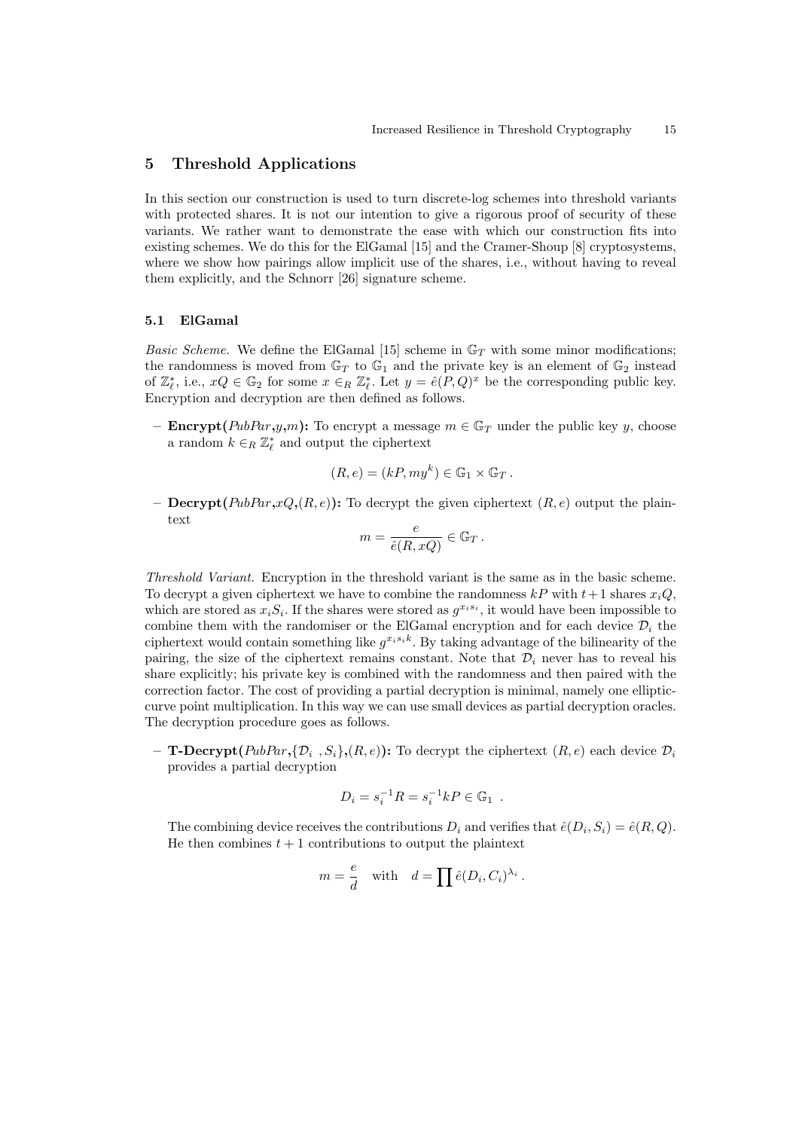# 5 Threshold Applications

In this section our construction is used to turn discrete-log schemes into threshold variants with protected shares. It is not our intention to give a rigorous proof of security of these variants. We rather want to demonstrate the ease with which our construction fits into existing schemes. We do this for the ElGamal [15] and the Cramer-Shoup [8] cryptosystems, where we show how pairings allow implicit use of the shares, i.e., without having to reveal them explicitly, and the Schnorr [26] signature scheme.

# 5.1 ElGamal

*Basic Scheme.* We define the ElGamal [15] scheme in  $\mathbb{G}_T$  with some minor modifications; the randomness is moved from  $\mathbb{G}_T$  to  $\mathbb{G}_1$  and the private key is an element of  $\mathbb{G}_2$  instead of  $\mathbb{Z}_{\ell}^*$ , i.e.,  $xQ \in \mathbb{G}_2$  for some  $x \in_R \mathbb{Z}_{\ell}^*$ . Let  $y = \hat{e}(P,Q)^x$  be the corresponding public key. Encryption and decryption are then defined as follows.

– **Encrypt**( $PubPar,y,m$ ): To encrypt a message  $m \in \mathbb{G}_T$  under the public key y, choose a random  $k \in_R \mathbb{Z}_{\ell}^*$  and output the ciphertext

$$
(R, e) = (kP, my^k) \in \mathbb{G}_1 \times \mathbb{G}_T.
$$

– Decrypt( $PubPar, xQ, (R, e)$ ): To decrypt the given ciphertext  $(R, e)$  output the plaintext

$$
m = \frac{e}{\hat{e}(R, xQ)} \in \mathbb{G}_T.
$$

Threshold Variant. Encryption in the threshold variant is the same as in the basic scheme. To decrypt a given ciphertext we have to combine the randomness  $k \in \mathbb{R}^p$  with  $t+1$  shares  $x_i Q$ , which are stored as  $x_i S_i$ . If the shares were stored as  $g^{x_i s_i}$ , it would have been impossible to combine them with the randomiser or the ElGamal encryption and for each device  $\mathcal{D}_i$  the ciphertext would contain something like  $g^{x_i s_i k}$ . By taking advantage of the bilinearity of the pairing, the size of the ciphertext remains constant. Note that  $\mathcal{D}_i$  never has to reveal his share explicitly; his private key is combined with the randomness and then paired with the correction factor. The cost of providing a partial decryption is minimal, namely one ellipticcurve point multiplication. In this way we can use small devices as partial decryption oracles. The decryption procedure goes as follows.

- **T-Decrypt**( $PubPar$ , $\{\mathcal{D}_i, S_i\}$ , $(R, e)$ ): To decrypt the ciphertext  $(R, e)$  each device  $\mathcal{D}_i$ provides a partial decryption

$$
D_i = s_i^{-1} R = s_i^{-1} k P \in \mathbb{G}_1 .
$$

The combining device receives the contributions  $D_i$  and verifies that  $\hat{e}(D_i, S_i) = \hat{e}(R, Q)$ . He then combines  $t + 1$  contributions to output the plaintext

$$
m = \frac{e}{d}
$$
 with  $d = \prod \hat{e}(D_i, C_i)^{\lambda_i}$ .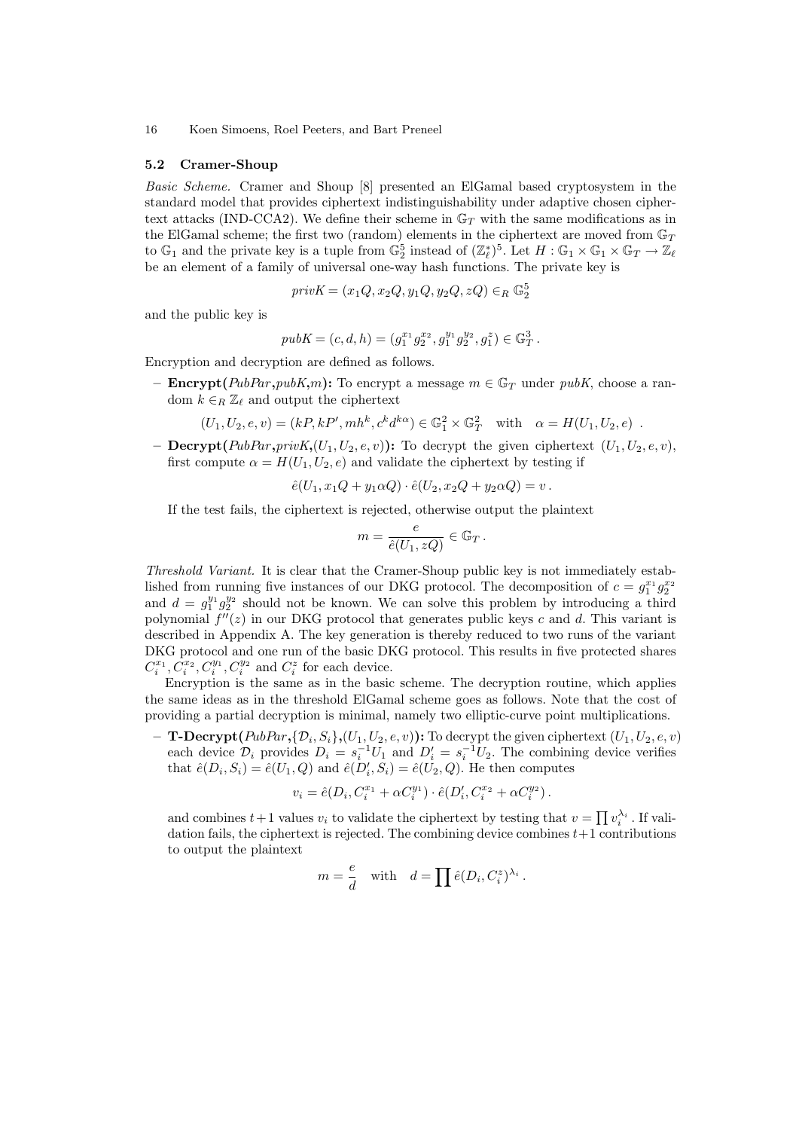#### 5.2 Cramer-Shoup

Basic Scheme. Cramer and Shoup [8] presented an ElGamal based cryptosystem in the standard model that provides ciphertext indistinguishability under adaptive chosen ciphertext attacks (IND-CCA2). We define their scheme in  $\mathbb{G}_T$  with the same modifications as in the ElGamal scheme; the first two (random) elements in the ciphertext are moved from  $\mathbb{G}_T$ to  $\mathbb{G}_1$  and the private key is a tuple from  $\mathbb{G}_2^5$  instead of  $(\mathbb{Z}_{\ell}^*)^5$ . Let  $H : \mathbb{G}_1 \times \mathbb{G}_1 \times \mathbb{G}_T \to \mathbb{Z}_{\ell}$ be an element of a family of universal one-way hash functions. The private key is

$$
\mathit{privK} = (x_1Q, x_2Q, y_1Q, y_2Q, zQ) \in_R \mathbb{G}_2^5
$$

and the public key is

$$
pubK = (c, d, h) = (g_1^{x_1} g_2^{x_2}, g_1^{y_1} g_2^{y_2}, g_1^z) \in \mathbb{G}_T^3.
$$

Encryption and decryption are defined as follows.

– **Encrypt**( $PubPar, pubK,m$ ): To encrypt a message  $m \in \mathbb{G}_T$  under pubK, choose a random  $k \in_R \mathbb{Z}_\ell$  and output the ciphertext

$$
(U_1, U_2, e, v) = (kP, kP', mh^k, c^k d^{k\alpha}) \in \mathbb{G}_1^2 \times \mathbb{G}_T^2 \text{ with } \alpha = H(U_1, U_2, e) .
$$

- Decrypt(PubPar,privK, $(U_1, U_2, e, v)$ ): To decrypt the given ciphertext  $(U_1, U_2, e, v)$ , first compute  $\alpha = H(U_1, U_2, e)$  and validate the ciphertext by testing if

$$
\hat{e}(U_1, x_1Q + y_1\alpha Q) \cdot \hat{e}(U_2, x_2Q + y_2\alpha Q) = v.
$$

If the test fails, the ciphertext is rejected, otherwise output the plaintext

$$
m=\frac{e}{\hat{e}(U_1,zQ)}\in\mathbb{G}_T\,.
$$

Threshold Variant. It is clear that the Cramer-Shoup public key is not immediately established from running five instances of our DKG protocol. The decomposition of  $c = g_1^{x_1} g_2^{x_2}$ and  $d = g_1^{y_1} g_2^{y_2}$  should not be known. We can solve this problem by introducing a third polynomial  $f''(z)$  in our DKG protocol that generates public keys c and d. This variant is described in Appendix A. The key generation is thereby reduced to two runs of the variant DKG protocol and one run of the basic DKG protocol. This results in five protected shares  $C_i^{x_1}, \overline{C_i^{x_2}}, C_i^{y_1}, C_i^{y_2}$  and  $C_i^z$  for each device.

Encryption is the same as in the basic scheme. The decryption routine, which applies the same ideas as in the threshold ElGamal scheme goes as follows. Note that the cost of providing a partial decryption is minimal, namely two elliptic-curve point multiplications.

 $-$  T-Decrypt(PubPar,{D<sub>i</sub>, S<sub>i</sub>},(U<sub>1</sub>, U<sub>2</sub>, e, v)): To decrypt the given ciphertext (U<sub>1</sub>, U<sub>2</sub>, e, v) each device  $\mathcal{D}_i$  provides  $D_i = s_i^{-1}U_1$  and  $D'_i = s_i^{-1}U_2$ . The combining device verifies that  $\hat{e}(D_i, S_i) = \hat{e}(U_1, Q)$  and  $\hat{e}(D_i, S_i) = \hat{e}(U_2, Q)$ . He then computes

$$
v_i = \hat{e}(D_i, C_i^{x_1} + \alpha C_i^{y_1}) \cdot \hat{e}(D_i', C_i^{x_2} + \alpha C_i^{y_2}).
$$

and combines  $t+1$  values  $v_i$  to validate the ciphertext by testing that  $v = \prod v_i^{\lambda_i}$ . If validation fails, the ciphertext is rejected. The combining device combines  $t+1$  contributions to output the plaintext

$$
m = \frac{e}{d}
$$
 with  $d = \prod \hat{e}(D_i, C_i^z)^{\lambda_i}$ .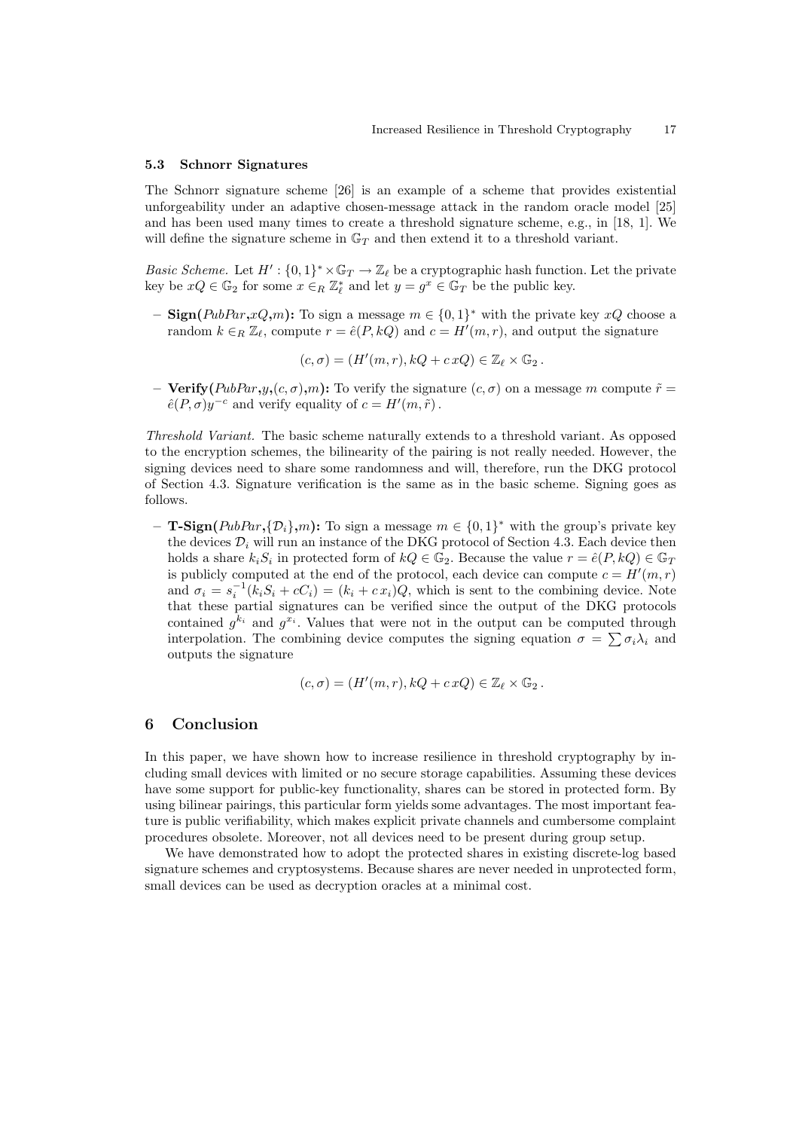#### 5.3 Schnorr Signatures

The Schnorr signature scheme [26] is an example of a scheme that provides existential unforgeability under an adaptive chosen-message attack in the random oracle model [25] and has been used many times to create a threshold signature scheme, e.g., in [18, 1]. We will define the signature scheme in  $\mathbb{G}_T$  and then extend it to a threshold variant.

Basic Scheme. Let  $H': \{0,1\}^* \times \mathbb{G}_T \to \mathbb{Z}_\ell$  be a cryptographic hash function. Let the private key be  $xQ \in \mathbb{G}_2$  for some  $x \in_R \mathbb{Z}_{\ell}^*$  and let  $y = g^x \in \mathbb{G}_T$  be the public key.

- Sign(PubPar,xQ,m): To sign a message  $m \in \{0,1\}^*$  with the private key xQ choose a random  $k \in_R \mathbb{Z}_\ell$ , compute  $r = \hat{e}(P, kQ)$  and  $c = H'(m, r)$ , and output the signature

$$
(c, \sigma) = (H'(m, r), kQ + cxQ) \in \mathbb{Z}_{\ell} \times \mathbb{G}_2.
$$

– Verify( $PubPar, y, (c, \sigma), m$ ): To verify the signature  $(c, \sigma)$  on a message m compute  $\tilde{r} =$  $\hat{e}(P,\sigma)y^{-c}$  and verify equality of  $c = H'(m,\tilde{r})$ .

Threshold Variant. The basic scheme naturally extends to a threshold variant. As opposed to the encryption schemes, the bilinearity of the pairing is not really needed. However, the signing devices need to share some randomness and will, therefore, run the DKG protocol of Section 4.3. Signature verification is the same as in the basic scheme. Signing goes as follows.

- **T-Sign**( $PubPar$ , $\{D_i\}$ , $m$ ): To sign a message  $m \in \{0,1\}^*$  with the group's private key the devices  $\mathcal{D}_i$  will run an instance of the DKG protocol of Section 4.3. Each device then holds a share  $k_i S_i$  in protected form of  $kQ \in \mathbb{G}_2$ . Because the value  $r = \hat{e}(P, kQ) \in \mathbb{G}_T$ is publicly computed at the end of the protocol, each device can compute  $c = H'(m, r)$ and  $\sigma_i = s_i^{-1}(k_i S_i + cC_i) = (k_i + c x_i)Q$ , which is sent to the combining device. Note that these partial signatures can be verified since the output of the DKG protocols contained  $g^{k_i}$  and  $g^{x_i}$ . Values that were not in the output can be computed through interpolation. The combining device computes the signing equation  $\sigma = \sum \sigma_i \lambda_i$  and outputs the signature

$$
(c, \sigma) = (H'(m, r), kQ + cxQ) \in \mathbb{Z}_{\ell} \times \mathbb{G}_2.
$$

# 6 Conclusion

In this paper, we have shown how to increase resilience in threshold cryptography by including small devices with limited or no secure storage capabilities. Assuming these devices have some support for public-key functionality, shares can be stored in protected form. By using bilinear pairings, this particular form yields some advantages. The most important feature is public verifiability, which makes explicit private channels and cumbersome complaint procedures obsolete. Moreover, not all devices need to be present during group setup.

We have demonstrated how to adopt the protected shares in existing discrete-log based signature schemes and cryptosystems. Because shares are never needed in unprotected form, small devices can be used as decryption oracles at a minimal cost.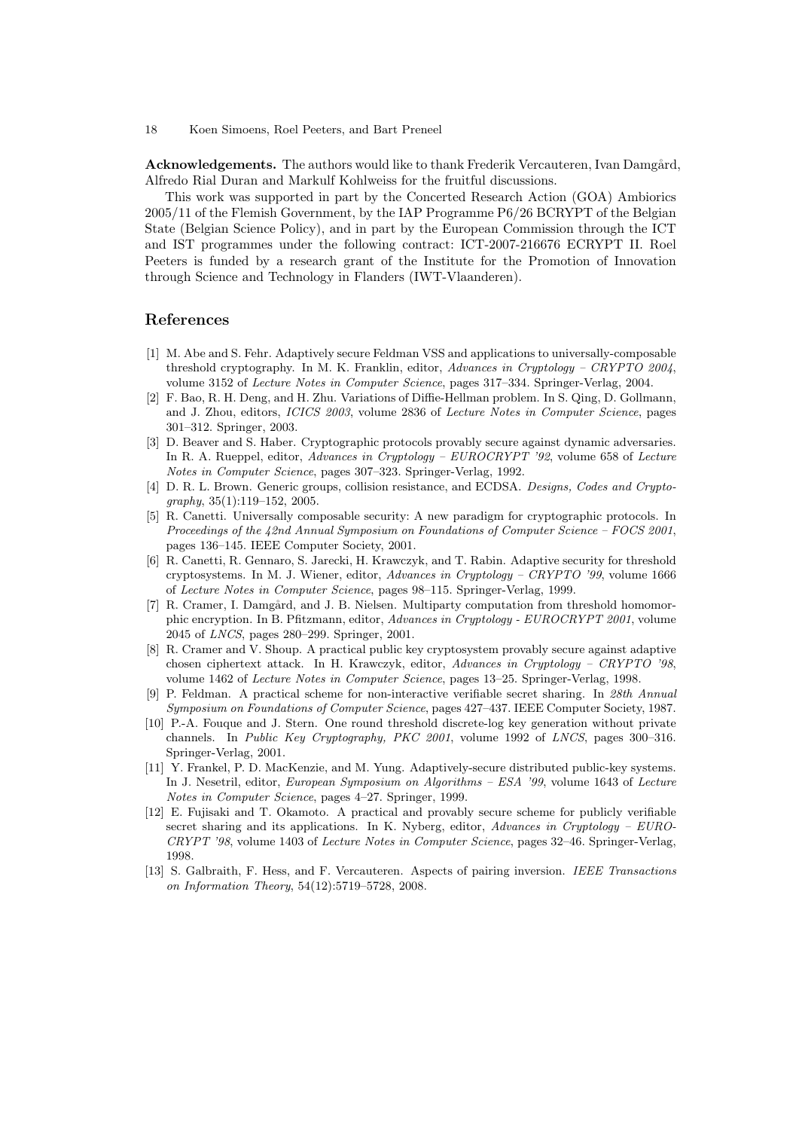Acknowledgements. The authors would like to thank Frederik Vercauteren, Ivan Damgård, Alfredo Rial Duran and Markulf Kohlweiss for the fruitful discussions.

This work was supported in part by the Concerted Research Action (GOA) Ambiorics 2005/11 of the Flemish Government, by the IAP Programme P6/26 BCRYPT of the Belgian State (Belgian Science Policy), and in part by the European Commission through the ICT and IST programmes under the following contract: ICT-2007-216676 ECRYPT II. Roel Peeters is funded by a research grant of the Institute for the Promotion of Innovation through Science and Technology in Flanders (IWT-Vlaanderen).

# References

- [1] M. Abe and S. Fehr. Adaptively secure Feldman VSS and applications to universally-composable threshold cryptography. In M. K. Franklin, editor, Advances in Cryptology – CRYPTO 2004, volume 3152 of Lecture Notes in Computer Science, pages 317–334. Springer-Verlag, 2004.
- [2] F. Bao, R. H. Deng, and H. Zhu. Variations of Diffie-Hellman problem. In S. Qing, D. Gollmann, and J. Zhou, editors, ICICS 2003, volume 2836 of Lecture Notes in Computer Science, pages 301–312. Springer, 2003.
- [3] D. Beaver and S. Haber. Cryptographic protocols provably secure against dynamic adversaries. In R. A. Rueppel, editor, Advances in Cryptology – EUROCRYPT '92, volume 658 of Lecture Notes in Computer Science, pages 307–323. Springer-Verlag, 1992.
- [4] D. R. L. Brown. Generic groups, collision resistance, and ECDSA. Designs, Codes and Cryptography, 35(1):119–152, 2005.
- [5] R. Canetti. Universally composable security: A new paradigm for cryptographic protocols. In Proceedings of the 42nd Annual Symposium on Foundations of Computer Science – FOCS 2001, pages 136–145. IEEE Computer Society, 2001.
- [6] R. Canetti, R. Gennaro, S. Jarecki, H. Krawczyk, and T. Rabin. Adaptive security for threshold cryptosystems. In M. J. Wiener, editor, Advances in Cryptology – CRYPTO '99, volume 1666 of Lecture Notes in Computer Science, pages 98–115. Springer-Verlag, 1999.
- [7] R. Cramer, I. Damgård, and J. B. Nielsen. Multiparty computation from threshold homomorphic encryption. In B. Pfitzmann, editor, Advances in Cryptology - EUROCRYPT 2001, volume 2045 of LNCS, pages 280–299. Springer, 2001.
- [8] R. Cramer and V. Shoup. A practical public key cryptosystem provably secure against adaptive chosen ciphertext attack. In H. Krawczyk, editor, Advances in Cryptology – CRYPTO '98, volume 1462 of Lecture Notes in Computer Science, pages 13–25. Springer-Verlag, 1998.
- [9] P. Feldman. A practical scheme for non-interactive verifiable secret sharing. In 28th Annual Symposium on Foundations of Computer Science, pages 427–437. IEEE Computer Society, 1987.
- [10] P.-A. Fouque and J. Stern. One round threshold discrete-log key generation without private channels. In Public Key Cryptography, PKC 2001, volume 1992 of LNCS, pages 300–316. Springer-Verlag, 2001.
- [11] Y. Frankel, P. D. MacKenzie, and M. Yung. Adaptively-secure distributed public-key systems. In J. Nesetril, editor, European Symposium on Algorithms – ESA '99, volume 1643 of Lecture Notes in Computer Science, pages 4–27. Springer, 1999.
- [12] E. Fujisaki and T. Okamoto. A practical and provably secure scheme for publicly verifiable secret sharing and its applications. In K. Nyberg, editor, Advances in Cryptology – EURO-CRYPT '98, volume 1403 of Lecture Notes in Computer Science, pages 32–46. Springer-Verlag, 1998.
- [13] S. Galbraith, F. Hess, and F. Vercauteren. Aspects of pairing inversion. IEEE Transactions on Information Theory, 54(12):5719–5728, 2008.

<sup>18</sup> Koen Simoens, Roel Peeters, and Bart Preneel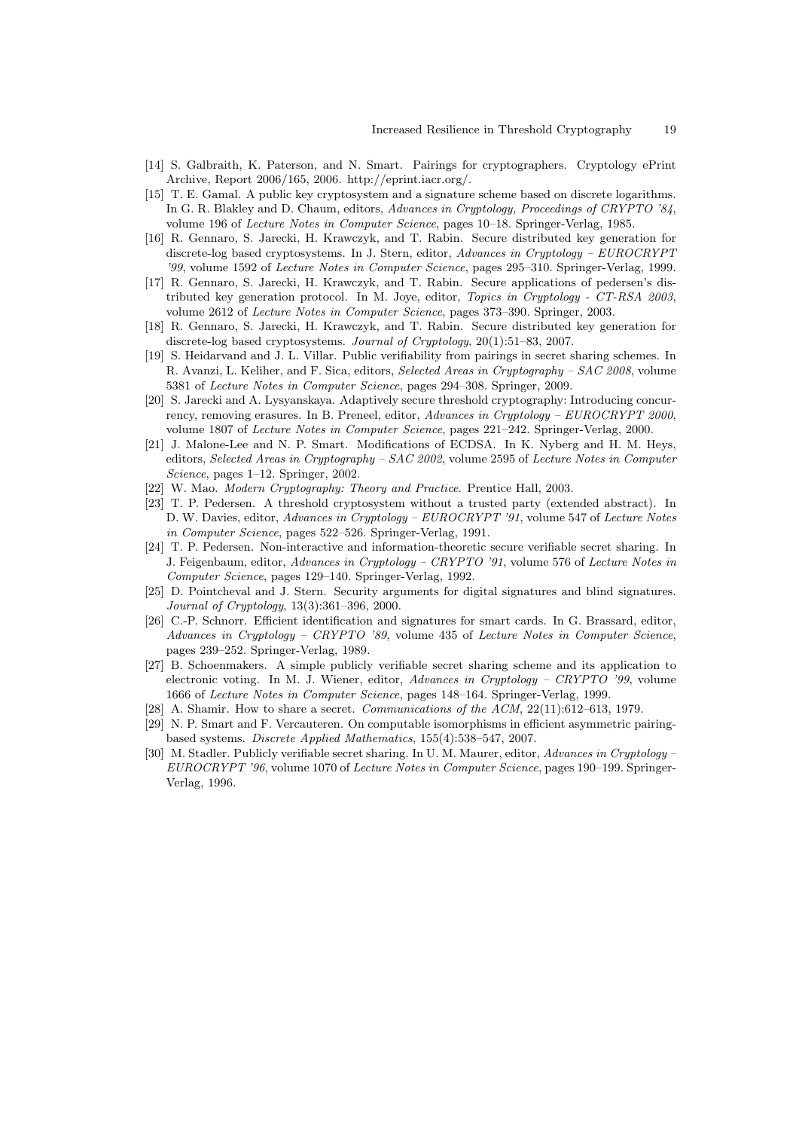- [14] S. Galbraith, K. Paterson, and N. Smart. Pairings for cryptographers. Cryptology ePrint Archive, Report 2006/165, 2006. http://eprint.iacr.org/.
- [15] T. E. Gamal. A public key cryptosystem and a signature scheme based on discrete logarithms. In G. R. Blakley and D. Chaum, editors, Advances in Cryptology, Proceedings of CRYPTO '84, volume 196 of Lecture Notes in Computer Science, pages 10–18. Springer-Verlag, 1985.
- [16] R. Gennaro, S. Jarecki, H. Krawczyk, and T. Rabin. Secure distributed key generation for discrete-log based cryptosystems. In J. Stern, editor, Advances in Cryptology – EUROCRYPT '99, volume 1592 of Lecture Notes in Computer Science, pages 295–310. Springer-Verlag, 1999.
- [17] R. Gennaro, S. Jarecki, H. Krawczyk, and T. Rabin. Secure applications of pedersen's distributed key generation protocol. In M. Joye, editor, Topics in Cryptology - CT-RSA 2003, volume 2612 of Lecture Notes in Computer Science, pages 373–390. Springer, 2003.
- [18] R. Gennaro, S. Jarecki, H. Krawczyk, and T. Rabin. Secure distributed key generation for discrete-log based cryptosystems. Journal of Cryptology, 20(1):51–83, 2007.
- [19] S. Heidarvand and J. L. Villar. Public verifiability from pairings in secret sharing schemes. In R. Avanzi, L. Keliher, and F. Sica, editors, Selected Areas in Cryptography – SAC 2008, volume 5381 of Lecture Notes in Computer Science, pages 294–308. Springer, 2009.
- [20] S. Jarecki and A. Lysyanskaya. Adaptively secure threshold cryptography: Introducing concurrency, removing erasures. In B. Preneel, editor, Advances in Cryptology – EUROCRYPT 2000, volume 1807 of Lecture Notes in Computer Science, pages 221–242. Springer-Verlag, 2000.
- [21] J. Malone-Lee and N. P. Smart. Modifications of ECDSA. In K. Nyberg and H. M. Heys, editors, Selected Areas in Cryptography – SAC 2002, volume 2595 of Lecture Notes in Computer Science, pages 1–12. Springer, 2002.
- [22] W. Mao. Modern Cryptography: Theory and Practice. Prentice Hall, 2003.
- [23] T. P. Pedersen. A threshold cryptosystem without a trusted party (extended abstract). In D. W. Davies, editor, Advances in Cryptology – EUROCRYPT '91, volume 547 of Lecture Notes in Computer Science, pages 522–526. Springer-Verlag, 1991.
- [24] T. P. Pedersen. Non-interactive and information-theoretic secure verifiable secret sharing. In J. Feigenbaum, editor, Advances in Cryptology – CRYPTO '91, volume 576 of Lecture Notes in Computer Science, pages 129–140. Springer-Verlag, 1992.
- [25] D. Pointcheval and J. Stern. Security arguments for digital signatures and blind signatures. Journal of Cryptology, 13(3):361–396, 2000.
- [26] C.-P. Schnorr. Efficient identification and signatures for smart cards. In G. Brassard, editor, Advances in Cryptology – CRYPTO '89, volume 435 of Lecture Notes in Computer Science, pages 239–252. Springer-Verlag, 1989.
- [27] B. Schoenmakers. A simple publicly verifiable secret sharing scheme and its application to electronic voting. In M. J. Wiener, editor, Advances in Cryptology – CRYPTO '99, volume 1666 of Lecture Notes in Computer Science, pages 148–164. Springer-Verlag, 1999.
- [28] A. Shamir. How to share a secret. Communications of the ACM, 22(11):612-613, 1979.
- [29] N. P. Smart and F. Vercauteren. On computable isomorphisms in efficient asymmetric pairingbased systems. Discrete Applied Mathematics, 155(4):538–547, 2007.
- [30] M. Stadler. Publicly verifiable secret sharing. In U. M. Maurer, editor, Advances in Cryptology EUROCRYPT '96, volume 1070 of Lecture Notes in Computer Science, pages 190–199. Springer-Verlag, 1996.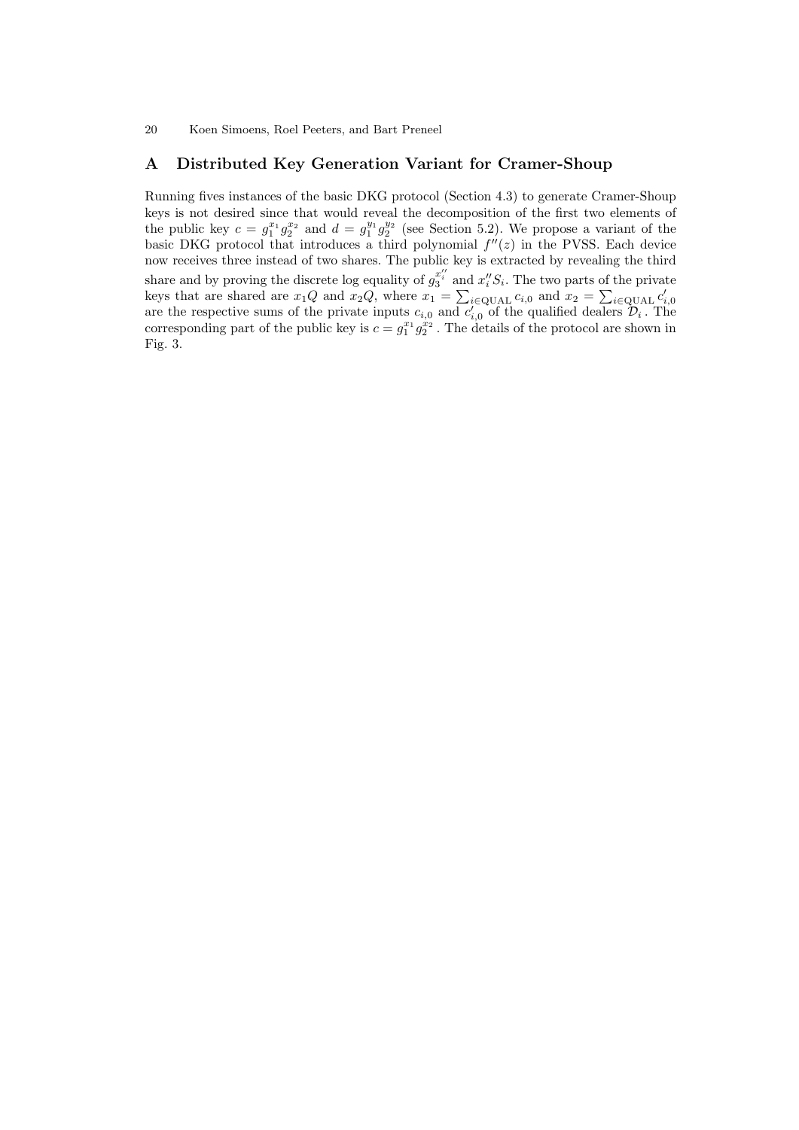# A Distributed Key Generation Variant for Cramer-Shoup

Running fives instances of the basic DKG protocol (Section 4.3) to generate Cramer-Shoup keys is not desired since that would reveal the decomposition of the first two elements of the public key  $c = g_1^{x_1} g_2^{x_2}$  and  $d = g_1^{y_1} g_2^{y_2}$  (see Section 5.2). We propose a variant of the basic DKG protocol that introduces a third polynomial  $f''(z)$  in the PVSS. Each device now receives three instead of two shares. The public key is extracted by revealing the third share and by proving the discrete log equality of  $g_3^{x''_i}$  and  $x''_iS_i$ . The two parts of the private keys that are shared are  $x_1Q$  and  $x_2Q$ , where  $x_1 = \sum_{i\in \text{QUAL}} c_{i,0}$  and  $x_2 = \sum_{i\in \text{QUAL}} c'_{i,0}$ <br>are the respective sums of the private inputs  $c_{i,0}$  and  $c'_{i,0}$  of the qualified dealers  $\mathcal{D}_i$ . The corresponding part of the public key is  $c = g_1^{x_1} g_2^{x_2}$ . The details of the protocol are shown in Fig. 3.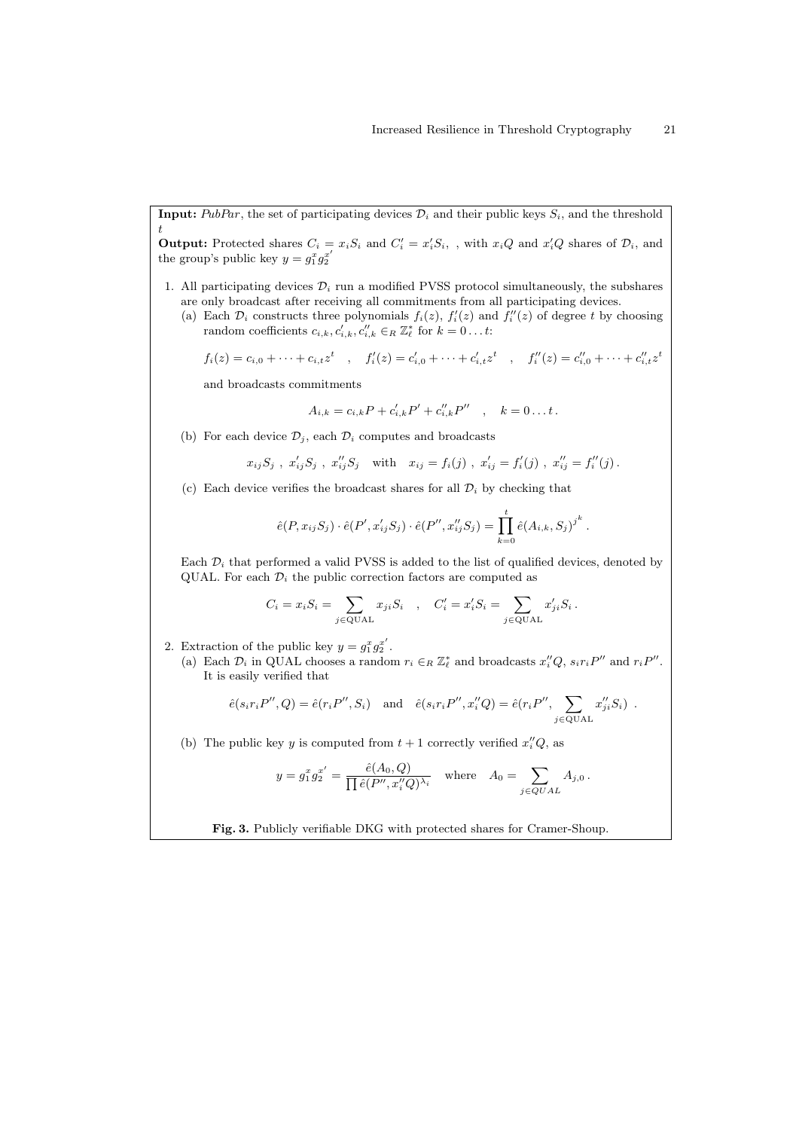**Input:** PubPar, the set of participating devices  $\mathcal{D}_i$  and their public keys  $S_i$ , and the threshold t

**Output:** Protected shares  $C_i = x_i S_i$  and  $C'_i = x'_i S_i$ , with  $x_i Q$  and  $x'_i Q$  shares of  $\mathcal{D}_i$ , and the group's public key  $y = g_1^x g_2^{x'}$ 

- 1. All participating devices  $\mathcal{D}_i$  run a modified PVSS protocol simultaneously, the subshares are only broadcast after receiving all commitments from all participating devices.
	- (a) Each  $\mathcal{D}_i$  constructs three polynomials  $f_i(z)$ ,  $f'_i(z)$  and  $f''_i(z)$  of degree t by choosing random coefficients  $c_{i,k}, c'_{i,k}, c''_{i,k} \in_R \mathbb{Z}_{\ell}^*$  for  $k = 0...t$ :

$$
f_i(z) = c_{i,0} + \cdots + c_{i,t}z^t
$$
,  $f'_i(z) = c'_{i,0} + \cdots + c'_{i,t}z^t$ ,  $f''_i(z) = c''_{i,0} + \cdots + c''_{i,t}z^t$ 

and broadcasts commitments

$$
A_{i,k} = c_{i,k}P + c'_{i,k}P' + c''_{i,k}P'' , \quad k = 0...t.
$$

(b) For each device  $\mathcal{D}_j$ , each  $\mathcal{D}_i$  computes and broadcasts

$$
x_{ij}S_j
$$
,  $x'_{ij}S_j$ ,  $x''_{ij}S_j$  with  $x_{ij} = f_i(j)$ ,  $x'_{ij} = f'_i(j)$ ,  $x''_{ij} = f''_i(j)$ .

(c) Each device verifies the broadcast shares for all  $\mathcal{D}_i$  by checking that

$$
\hat{e}(P, x_{ij}S_j) \cdot \hat{e}(P', x'_{ij}S_j) \cdot \hat{e}(P'', x''_{ij}S_j) = \prod_{k=0}^{t} \hat{e}(A_{i,k}, S_j)^{j^k}.
$$

Each  $\mathcal{D}_i$  that performed a valid PVSS is added to the list of qualified devices, denoted by QUAL. For each  $\mathcal{D}_i$  the public correction factors are computed as

$$
C_i = x_i S_i = \sum_{j \in \text{QUAL}} x_{ji} S_i \quad , \quad C'_i = x'_i S_i = \sum_{j \in \text{QUAL}} x'_{ji} S_i \, .
$$

- 2. Extraction of the public key  $y = g_1^x g_2^{x'}$ .
	- (a) Each  $\mathcal{D}_i$  in QUAL chooses a random  $r_i \in_R \mathbb{Z}_{\ell}^*$  and broadcasts  $x_i''Q$ ,  $s_ir_iP''$  and  $r_iP''$ . It is easily verified that

$$
\hat{e}(s_i r_i P'', Q) = \hat{e}(r_i P'', S_i)
$$
 and  $\hat{e}(s_i r_i P'', x''_i Q) = \hat{e}(r_i P'', \sum_{j \in \text{QUAL}} x''_{ji} S_i)$ .

(b) The public key y is computed from  $t + 1$  correctly verified  $x_i''Q$ , as

$$
y = g_1^x g_2^{x'} = \frac{\hat{e}(A_0, Q)}{\prod \hat{e}(P'', x_i''Q)^{\lambda_i}}
$$
 where  $A_0 = \sum_{j \in QUAL} A_{j,0}$ .

Fig. 3. Publicly verifiable DKG with protected shares for Cramer-Shoup.